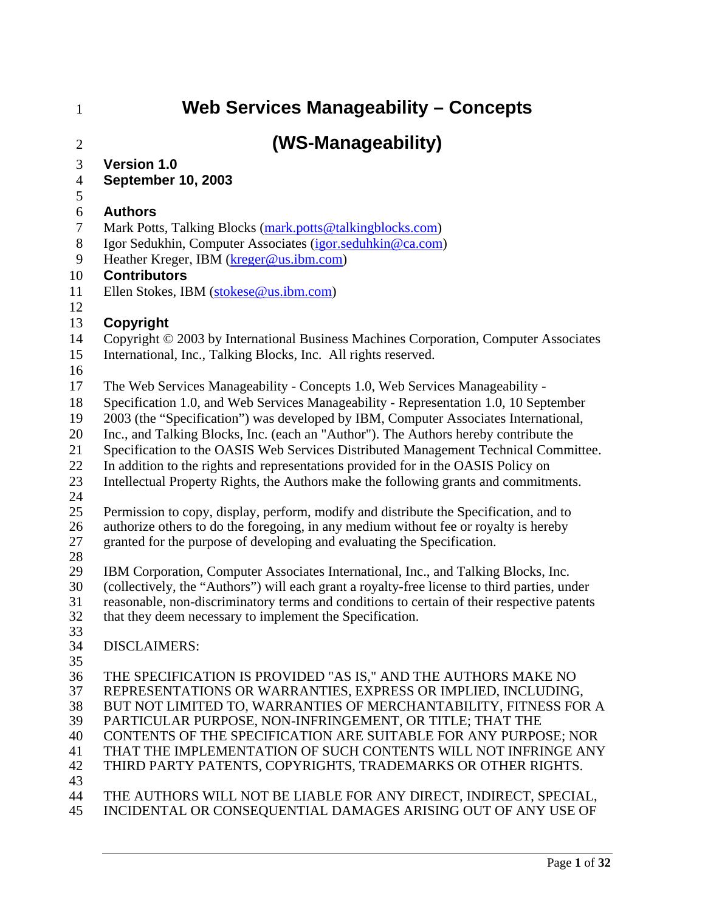| $\mathbf{1}$   | <b>Web Services Manageability - Concepts</b>                                                 |
|----------------|----------------------------------------------------------------------------------------------|
| $\overline{2}$ | (WS-Manageability)                                                                           |
| 3              | <b>Version 1.0</b>                                                                           |
| $\overline{4}$ | <b>September 10, 2003</b>                                                                    |
| $\mathfrak{S}$ |                                                                                              |
| 6              | <b>Authors</b>                                                                               |
| 7              | Mark Potts, Talking Blocks (mark.potts@talkingblocks.com)                                    |
| 8              | Igor Sedukhin, Computer Associates (igor.seduhkin@ca.com)                                    |
| 9              | Heather Kreger, IBM (kreger@us.ibm.com)                                                      |
| 10             | <b>Contributors</b>                                                                          |
| 11             | Ellen Stokes, IBM (stokese@us.ibm.com)                                                       |
| 12             |                                                                                              |
| 13             | <b>Copyright</b>                                                                             |
| 14             | Copyright © 2003 by International Business Machines Corporation, Computer Associates         |
| 15             | International, Inc., Talking Blocks, Inc. All rights reserved.                               |
| 16             |                                                                                              |
| 17             | The Web Services Manageability - Concepts 1.0, Web Services Manageability -                  |
| 18             | Specification 1.0, and Web Services Manageability - Representation 1.0, 10 September         |
| 19             | 2003 (the "Specification") was developed by IBM, Computer Associates International,          |
| 20             | Inc., and Talking Blocks, Inc. (each an "Author"). The Authors hereby contribute the         |
| 21             | Specification to the OASIS Web Services Distributed Management Technical Committee.          |
| 22             | In addition to the rights and representations provided for in the OASIS Policy on            |
| 23             | Intellectual Property Rights, the Authors make the following grants and commitments.         |
| 24<br>25       | Permission to copy, display, perform, modify and distribute the Specification, and to        |
| 26             | authorize others to do the foregoing, in any medium without fee or royalty is hereby         |
| 27             | granted for the purpose of developing and evaluating the Specification.                      |
| 28             |                                                                                              |
| 29             | IBM Corporation, Computer Associates International, Inc., and Talking Blocks, Inc.           |
| 30             | (collectively, the "Authors") will each grant a royalty-free license to third parties, under |
| 31             | reasonable, non-discriminatory terms and conditions to certain of their respective patents   |
| 32             | that they deem necessary to implement the Specification.                                     |
| 33             |                                                                                              |
| 34             | <b>DISCLAIMERS:</b>                                                                          |
| 35<br>36       | THE SPECIFICATION IS PROVIDED "AS IS," AND THE AUTHORS MAKE NO                               |
| 37             | REPRESENTATIONS OR WARRANTIES, EXPRESS OR IMPLIED, INCLUDING,                                |
| 38             | BUT NOT LIMITED TO, WARRANTIES OF MERCHANTABILITY, FITNESS FOR A                             |
| 39             | PARTICULAR PURPOSE, NON-INFRINGEMENT, OR TITLE; THAT THE                                     |
| 40             | CONTENTS OF THE SPECIFICATION ARE SUITABLE FOR ANY PURPOSE; NOR                              |
| 41             | THAT THE IMPLEMENTATION OF SUCH CONTENTS WILL NOT INFRINGE ANY                               |
| 42             | THIRD PARTY PATENTS, COPYRIGHTS, TRADEMARKS OR OTHER RIGHTS.                                 |
| 43             |                                                                                              |
| 44             | THE AUTHORS WILL NOT BE LIABLE FOR ANY DIRECT, INDIRECT, SPECIAL,                            |
| 45             | INCIDENTAL OR CONSEQUENTIAL DAMAGES ARISING OUT OF ANY USE OF                                |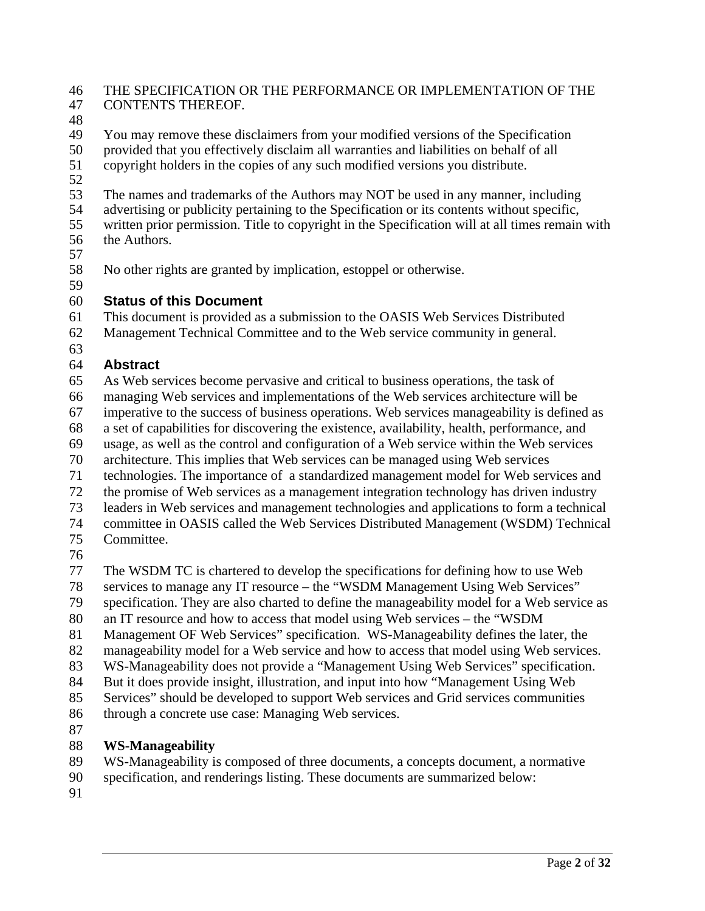#### 46 THE SPECIFICATION OR THE PERFORMANCE OR IMPLEMENTATION OF THE 47 CONTENTS THEREOF.

48

49 You may remove these disclaimers from your modified versions of the Specification

50 provided that you effectively disclaim all warranties and liabilities on behalf of all copyright holders in the copies of any such modified versions you distribute. copyright holders in the copies of any such modified versions you distribute.

52

53 The names and trademarks of the Authors may NOT be used in any manner, including<br>54 advertising or publicity pertaining to the Specification or its contents without specific. advertising or publicity pertaining to the Specification or its contents without specific,

55 written prior permission. Title to copyright in the Specification will at all times remain with 56 the Authors.

57

58 No other rights are granted by implication, estoppel or otherwise. 59

#### 60 **Status of this Document**

61 This document is provided as a submission to the OASIS Web Services Distributed

62 Management Technical Committee and to the Web service community in general.

63

### 64 **Abstract**

65 As Web services become pervasive and critical to business operations, the task of

66 managing Web services and implementations of the Web services architecture will be

67 imperative to the success of business operations. Web services manageability is defined as

68 a set of capabilities for discovering the existence, availability, health, performance, and

69 usage, as well as the control and configuration of a Web service within the Web services

70 architecture. This implies that Web services can be managed using Web services

71 technologies. The importance of a standardized management model for Web services and

72 the promise of Web services as a management integration technology has driven industry

73 leaders in Web services and management technologies and applications to form a technical

74 committee in OASIS called the Web Services Distributed Management (WSDM) Technical 75 Committee.

76

77 The WSDM TC is chartered to develop the specifications for defining how to use Web

78 services to manage any IT resource – the "WSDM Management Using Web Services"

79 specification. They are also charted to define the manageability model for a Web service as

80 an IT resource and how to access that model using Web services – the "WSDM

81 Management OF Web Services" specification. WS-Manageability defines the later, the

82 manageability model for a Web service and how to access that model using Web services.

83 WS-Manageability does not provide a "Management Using Web Services" specification.

84 But it does provide insight, illustration, and input into how "Management Using Web

85 Services" should be developed to support Web services and Grid services communities

86 through a concrete use case: Managing Web services.

87

## 88 **WS-Manageability**

89 WS-Manageability is composed of three documents, a concepts document, a normative

- 90 specification, and renderings listing. These documents are summarized below:
- 91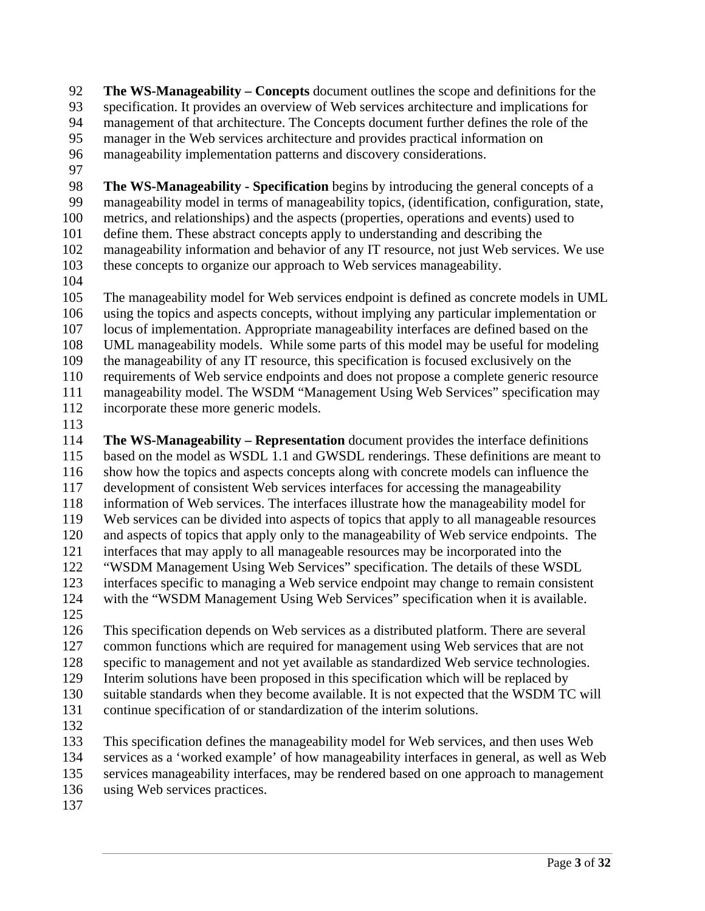92 **The WS-Manageability – Concepts** document outlines the scope and definitions for the 93 specification. It provides an overview of Web services architecture and implications for 94 management of that architecture. The Concepts document further defines the role of the 95 manager in the Web services architecture and provides practical information on 96 manageability implementation patterns and discovery considerations.

97

98 **The WS-Manageability - Specification** begins by introducing the general concepts of a 99 manageability model in terms of manageability topics, (identification, configuration, state, 100 metrics, and relationships) and the aspects (properties, operations and events) used to 101 define them. These abstract concepts apply to understanding and describing the 102 manageability information and behavior of any IT resource, not just Web services. We use 103 these concepts to organize our approach to Web services manageability.

104

105 The manageability model for Web services endpoint is defined as concrete models in UML 106 using the topics and aspects concepts, without implying any particular implementation or 107 locus of implementation. Appropriate manageability interfaces are defined based on the 108 UML manageability models. While some parts of this model may be useful for modeling 109 the manageability of any IT resource, this specification is focused exclusively on the 110 requirements of Web service endpoints and does not propose a complete generic resource 111 manageability model. The WSDM "Management Using Web Services" specification may 112 incorporate these more generic models.

113

114 **The WS-Manageability – Representation** document provides the interface definitions 115 based on the model as WSDL 1.1 and GWSDL renderings. These definitions are meant to 116 show how the topics and aspects concepts along with concrete models can influence the 117 development of consistent Web services interfaces for accessing the manageability 118 information of Web services. The interfaces illustrate how the manageability model for 119 Web services can be divided into aspects of topics that apply to all manageable resources 120 and aspects of topics that apply only to the manageability of Web service endpoints. The 121 interfaces that may apply to all manageable resources may be incorporated into the 122 "WSDM Management Using Web Services" specification. The details of these WSDL 123 interfaces specific to managing a Web service endpoint may change to remain consistent 124 with the "WSDM Management Using Web Services" specification when it is available.

125

126 This specification depends on Web services as a distributed platform. There are several 127 common functions which are required for management using Web services that are not 128 specific to management and not yet available as standardized Web service technologies. 129 Interim solutions have been proposed in this specification which will be replaced by 130 suitable standards when they become available. It is not expected that the WSDM TC will 131 continue specification of or standardization of the interim solutions.

132

133 This specification defines the manageability model for Web services, and then uses Web 134 services as a 'worked example' of how manageability interfaces in general, as well as Web 135 services manageability interfaces, may be rendered based on one approach to management

- 136 using Web services practices.
- 137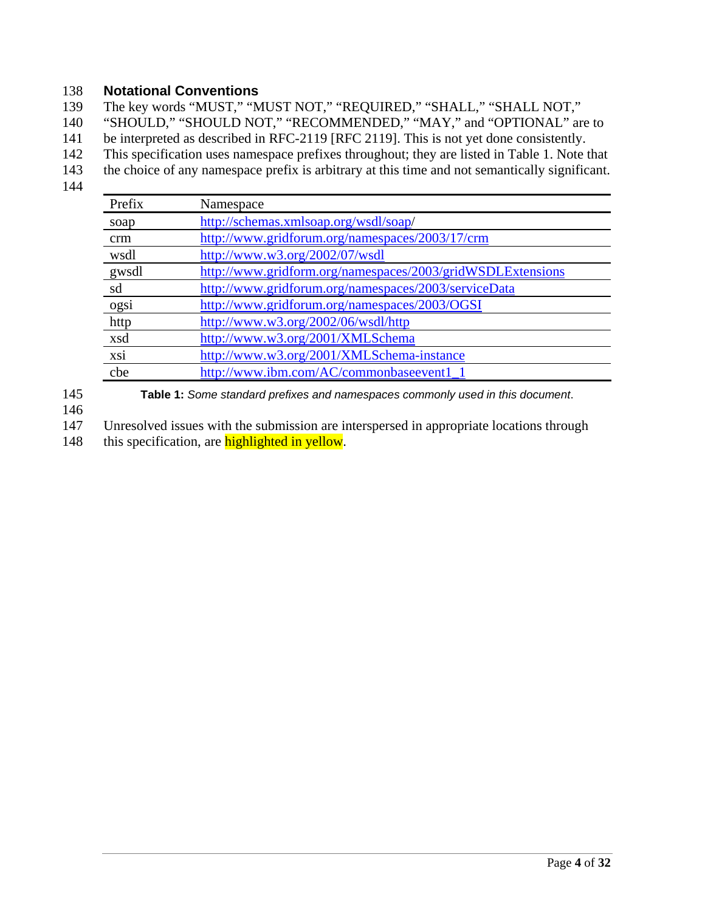#### 138 **Notational Conventions**

139 The key words "MUST," "MUST NOT," "REQUIRED," "SHALL," "SHALL NOT,"

140 "SHOULD," "SHOULD NOT," "RECOMMENDED," "MAY," and "OPTIONAL" are to

141 be interpreted as described in RFC-2119 [RFC 2119]. This is not yet done consistently.

- 142 This specification uses namespace prefixes throughout; they are listed in Table 1. Note that
- 143 the choice of any namespace prefix is arbitrary at this time and not semantically significant.
- 144

| Prefix | Namespace                                                  |
|--------|------------------------------------------------------------|
| soap   | http://schemas.xmlsoap.org/wsdl/soap/                      |
| crm    | http://www.gridforum.org/namespaces/2003/17/crm            |
| wsdl   | http://www.w3.org/2002/07/wsdl                             |
| gwsdl  | http://www.gridform.org/namespaces/2003/gridWSDLExtensions |
| sd     | http://www.gridforum.org/namespaces/2003/serviceData       |
| ogsi   | http://www.gridforum.org/namespaces/2003/OGSI              |
| http   | http://www.w3.org/2002/06/wsdl/http                        |
| xsd    | http://www.w3.org/2001/XMLSchema                           |
| xsi    | http://www.w3.org/2001/XMLSchema-instance                  |
| cbe    | http://www.ibm.com/AC/commonbaseevent1                     |

145 **Table 1:** *Some standard prefixes and namespaces commonly used in this document*.

146

147 Unresolved issues with the submission are interspersed in appropriate locations through

148 this specification, are **highlighted in yellow**.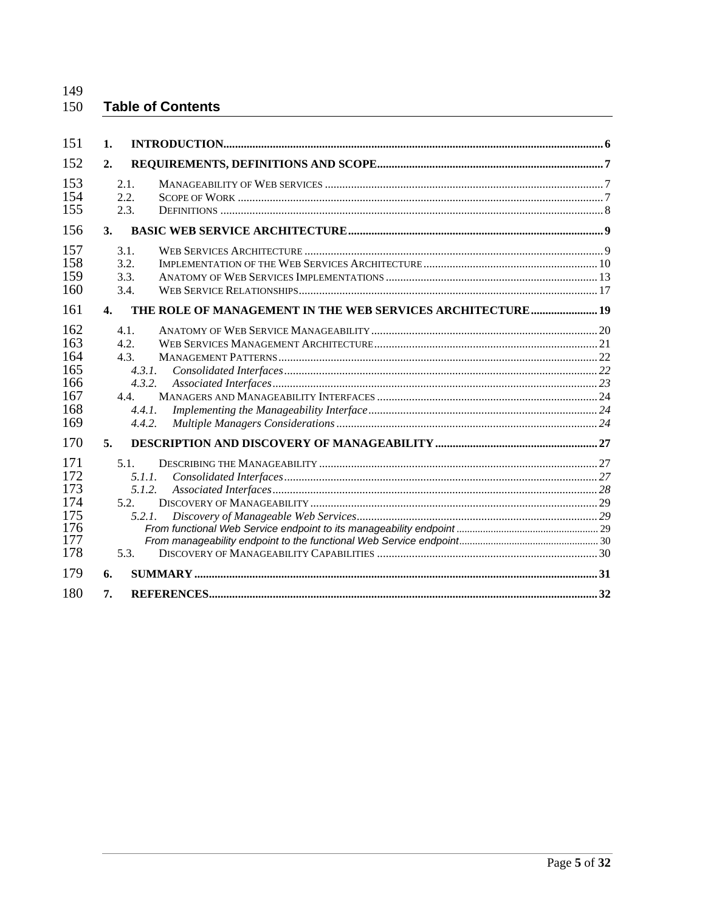#### 150 **Table of Contents**

| 151                                                         | 1.                                                                 |                                                            |  |
|-------------------------------------------------------------|--------------------------------------------------------------------|------------------------------------------------------------|--|
| 152                                                         | 2.                                                                 |                                                            |  |
| 153<br>154<br>155                                           | 2.1.<br>2.2.<br>2.3.                                               |                                                            |  |
| 156                                                         | <b>3.</b>                                                          |                                                            |  |
| 157<br>158<br>159<br>160                                    | 3.1.<br>3.2.<br>3.3.<br>3.4.                                       |                                                            |  |
| 161                                                         | $\mathbf{4}$ .                                                     | THE ROLE OF MANAGEMENT IN THE WEB SERVICES ARCHITECTURE 19 |  |
| 162<br>163<br>164<br>165<br>166<br>167<br>168<br>169        | 4.1.<br>4.2.<br>4.3.<br>4.3.1.<br>4.3.2.<br>44<br>4.4.1.<br>4.4.2. |                                                            |  |
| 170                                                         | 5.                                                                 |                                                            |  |
| 171<br>172<br>173<br>174<br>175<br>176<br>177<br>178<br>179 | $5.1$ .<br>5.1.1.<br>5.1.2.<br>5.2.<br>5.2.1.<br>5.3.<br>6.        |                                                            |  |
| 180                                                         | 7.                                                                 |                                                            |  |
|                                                             |                                                                    |                                                            |  |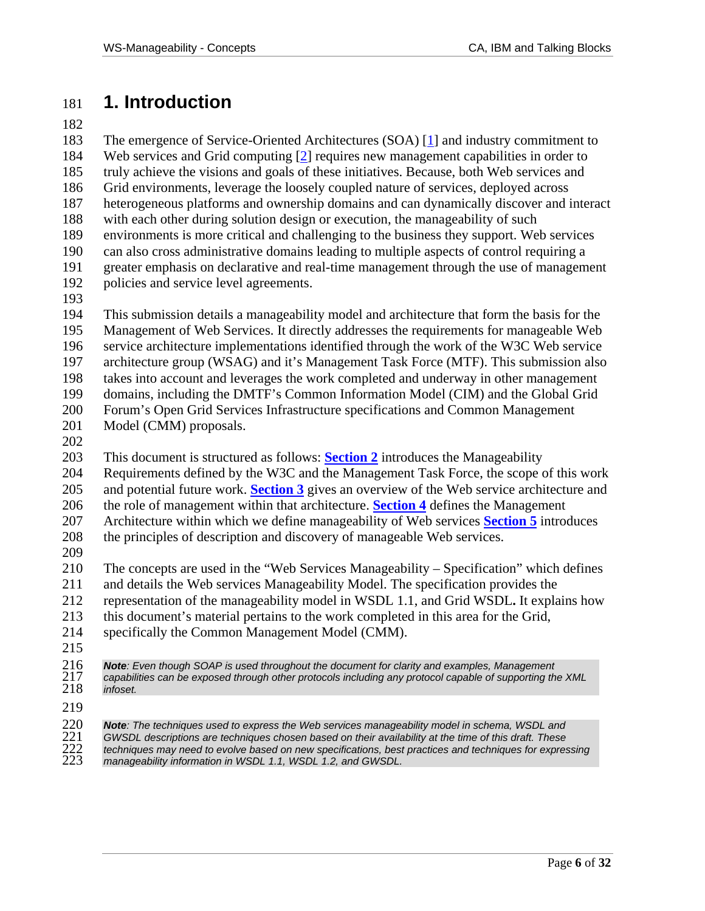# 181 **1. Introduction**

182

183 The emergence of Service-Oriented Architectures (SOA) [1] and industry commitment to 184 Web services and Grid computing [2] requires new management capabilities in order to 185 truly achieve the visions and goals of these initiatives. Because, both Web services and 186 Grid environments, leverage the loosely coupled nature of services, deployed across 187 heterogeneous platforms and ownership domains and can dynamically discover and interact 188 with each other during solution design or execution, the manageability of such 189 environments is more critical and challenging to the business they support. Web services 190 can also cross administrative domains leading to multiple aspects of control requiring a 191 greater emphasis on declarative and real-time management through the use of management 192 policies and service level agreements. 193 194 This submission details a manageability model and architecture that form the basis for the 195 Management of Web Services. It directly addresses the requirements for manageable Web 196 service architecture implementations identified through the work of the W3C Web service 197 architecture group (WSAG) and it's Management Task Force (MTF). This submission also 198 takes into account and leverages the work completed and underway in other management 199 domains, including the DMTF's Common Information Model (CIM) and the Global Grid 200 Forum's Open Grid Services Infrastructure specifications and Common Management 201 Model (CMM) proposals. 202 203 This document is structured as follows: **Section 2** introduces the Manageability 204 Requirements defined by the W3C and the Management Task Force, the scope of this work 205 and potential future work. **Section 3** gives an overview of the Web service architecture and 206 the role of management within that architecture. **Section 4** defines the Management 207 Architecture within which we define manageability of Web services **Section 5** introduces 208 the principles of description and discovery of manageable Web services. 209 210 The concepts are used in the "Web Services Manageability – Specification" which defines 211 and details the Web services Manageability Model. The specification provides the 212 representation of the manageability model in WSDL 1.1, and Grid WSDL**.** It explains how 213 this document's material pertains to the work completed in this area for the Grid,

- 214 specifically the Common Management Model (CMM).
- 215

216 *Note: Even though SOAP is used throughout the document for clarity and examples, Management*  217 *capabilities can be exposed through other protocols including any protocol capable of supporting the XML*   $in$ foset.

219<br>220<br>221<br>222<br>223 220 *Note: The techniques used to express the Web services manageability model in schema, WSDL and*  221 *GWSDL descriptions are techniques chosen based on their availability at the time of this draft. These*  222 *techniques may need to evolve based on new specifications, best practices and techniques for expressing*  manageability information in WSDL 1.1, WSDL 1.2, and GWSDL.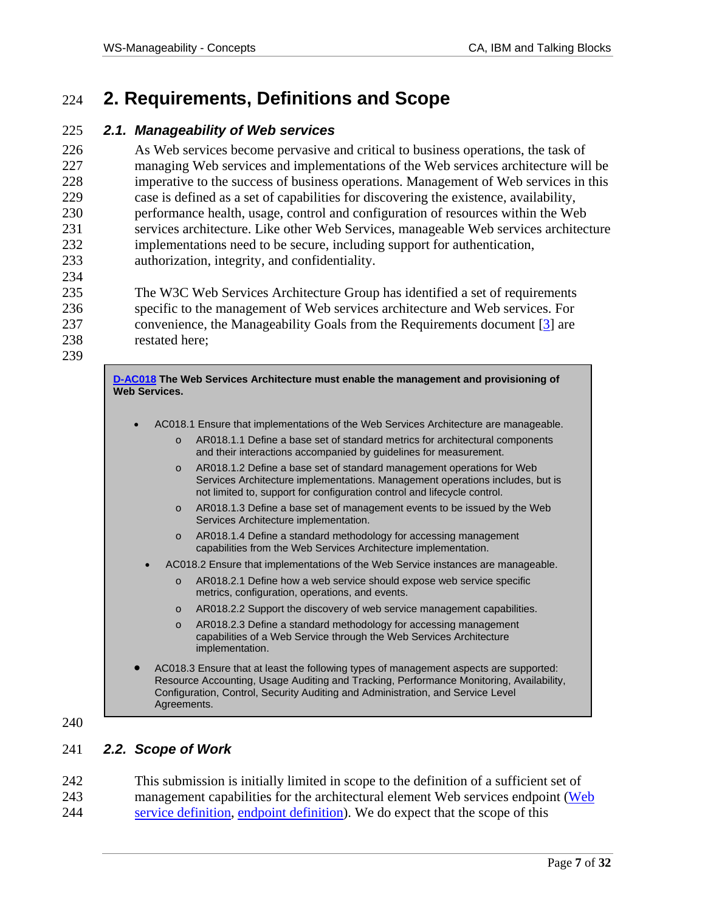# 224 **2. Requirements, Definitions and Scope**

#### 225 *2.1. Manageability of Web services*

226 As Web services become pervasive and critical to business operations, the task of 227 managing Web services and implementations of the Web services architecture will be 228 imperative to the success of business operations. Management of Web services in this 229 case is defined as a set of capabilities for discovering the existence, availability, 230 performance health, usage, control and configuration of resources within the Web 231 services architecture. Like other Web Services, manageable Web services architecture 232 implementations need to be secure, including support for authentication, 233 authorization, integrity, and confidentiality.

235 The W3C Web Services Architecture Group has identified a set of requirements 236 specific to the management of Web services architecture and Web services. For 237 convenience, the Manageability Goals from the Requirements document [3] are 238 restated here;

239

234

**D-AC018 The Web Services Architecture must enable the management and provisioning of Web Services.** 

- AC018.1 Ensure that implementations of the Web Services Architecture are manageable.
	- o AR018.1.1 Define a base set of standard metrics for architectural components and their interactions accompanied by guidelines for measurement.
	- o AR018.1.2 Define a base set of standard management operations for Web Services Architecture implementations. Management operations includes, but is not limited to, support for configuration control and lifecycle control.
	- o AR018.1.3 Define a base set of management events to be issued by the Web Services Architecture implementation.
	- o AR018.1.4 Define a standard methodology for accessing management capabilities from the Web Services Architecture implementation.
	- AC018.2 Ensure that implementations of the Web Service instances are manageable.
		- o AR018.2.1 Define how a web service should expose web service specific metrics, configuration, operations, and events.
		- o AR018.2.2 Support the discovery of web service management capabilities.
		- o AR018.2.3 Define a standard methodology for accessing management capabilities of a Web Service through the Web Services Architecture implementation.
- AC018.3 Ensure that at least the following types of management aspects are supported: Resource Accounting, Usage Auditing and Tracking, Performance Monitoring, Availability, Configuration, Control, Security Auditing and Administration, and Service Level Agreements.
- 240

#### 241 *2.2. Scope of Work*

242 This submission is initially limited in scope to the definition of a sufficient set of 243 management capabilities for the architectural element Web services endpoint (Web 244 service definition, endpoint definition). We do expect that the scope of this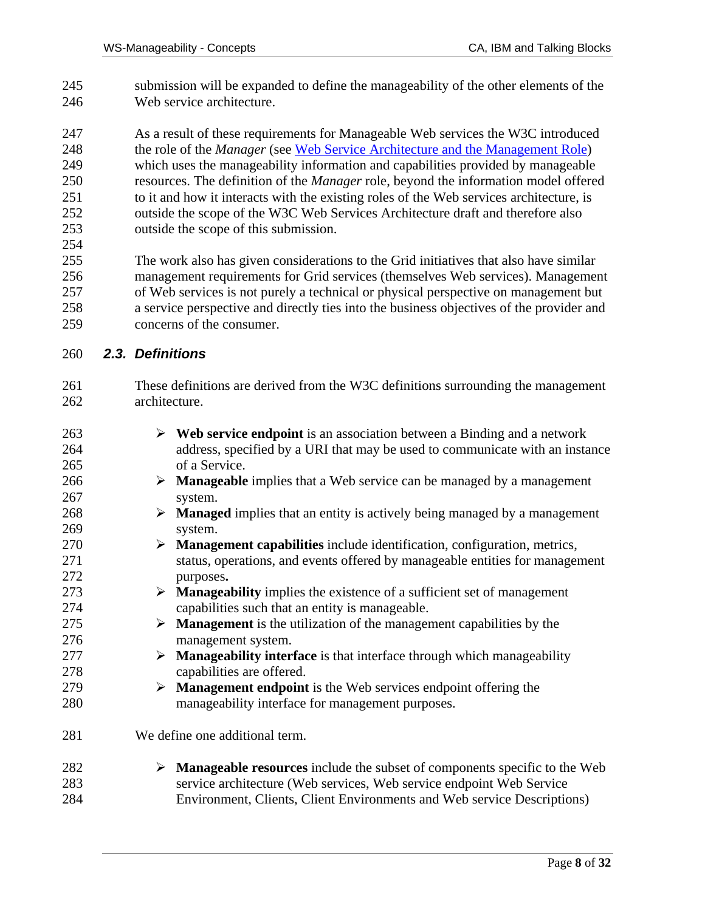- 245 submission will be expanded to define the manageability of the other elements of the 246 Web service architecture.
- 247 As a result of these requirements for Manageable Web services the W3C introduced 248 the role of the *Manager* (see Web Service Architecture and the Management Role) 249 which uses the manageability information and capabilities provided by manageable 250 resources. The definition of the *Manager* role, beyond the information model offered 251 to it and how it interacts with the existing roles of the Web services architecture, is 252 outside the scope of the W3C Web Services Architecture draft and therefore also 253 outside the scope of this submission. 254
- 255 The work also has given considerations to the Grid initiatives that also have similar 256 management requirements for Grid services (themselves Web services). Management 257 of Web services is not purely a technical or physical perspective on management but 258 a service perspective and directly ties into the business objectives of the provider and 259 concerns of the consumer.

#### 260 *2.3. Definitions*

- 261 These definitions are derived from the W3C definitions surrounding the management 262 architecture.
- $263$  Web service endpoint is an association between a Binding and a network 264 address, specified by a URI that may be used to communicate with an instance 265 of a Service.  $266$  **Manageable** implies that a Web service can be managed by a management 267 system.  $268$  **Managed** implies that an entity is actively being managed by a management 269 system. 270 ¾ **Management capabilities** include identification, configuration, metrics, 271 status, operations, and events offered by manageable entities for management 272 purposes**.** 273 ¾ **Manageability** implies the existence of a sufficient set of management 274 capabilities such that an entity is manageable.  $275$   $\rightarrow$  **Management** is the utilization of the management capabilities by the 276 management system. 277 ¾ **Manageability interface** is that interface through which manageability 278 capabilities are offered. 279 ¾ **Management endpoint** is the Web services endpoint offering the 280 manageability interface for management purposes. 281 We define one additional term. 282 ¾ **Manageable resources** include the subset of components specific to the Web 283 service architecture (Web services, Web service endpoint Web Service 284 Environment, Clients, Client Environments and Web service Descriptions)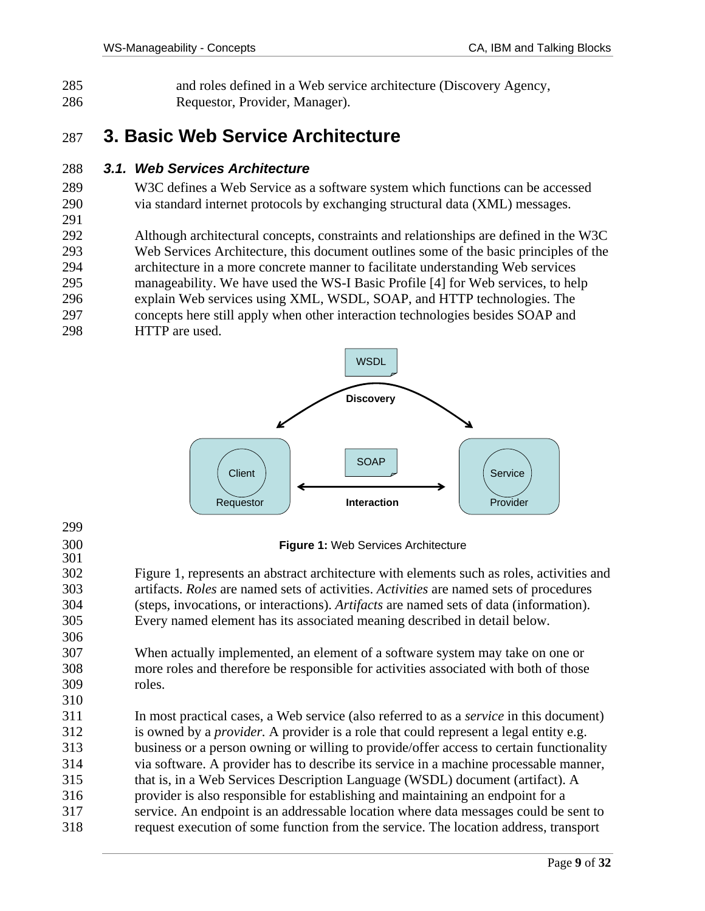285 and roles defined in a Web service architecture (Discovery Agency, 286 Requestor, Provider, Manager).

# 287 **3. Basic Web Service Architecture**

#### 288 *3.1. Web Services Architecture*

- 289 W3C defines a Web Service as a software system which functions can be accessed 290 via standard internet protocols by exchanging structural data (XML) messages.
- 292 Although architectural concepts, constraints and relationships are defined in the W3C 293 Web Services Architecture, this document outlines some of the basic principles of the 294 architecture in a more concrete manner to facilitate understanding Web services 295 manageability. We have used the WS-I Basic Profile [4] for Web services, to help 296 explain Web services using XML, WSDL, SOAP, and HTTP technologies. The 297 concepts here still apply when other interaction technologies besides SOAP and
- 298 HTTP are used.

291



299 300 **Figure 1:** Web Services Architecture 301 302 Figure 1, represents an abstract architecture with elements such as roles, activities and 303 artifacts. *Roles* are named sets of activities. *Activities* are named sets of procedures 304 (steps, invocations, or interactions). *Artifacts* are named sets of data (information). 305 Every named element has its associated meaning described in detail below. 306 307 When actually implemented, an element of a software system may take on one or 308 more roles and therefore be responsible for activities associated with both of those 309 roles. 310 311 In most practical cases, a Web service (also referred to as a *service* in this document) 312 is owned by a *provider.* A provider is a role that could represent a legal entity e.g. 313 business or a person owning or willing to provide/offer access to certain functionality 314 via software. A provider has to describe its service in a machine processable manner, 315 that is, in a Web Services Description Language (WSDL) document (artifact). A 316 provider is also responsible for establishing and maintaining an endpoint for a

317 service. An endpoint is an addressable location where data messages could be sent to 318 request execution of some function from the service. The location address, transport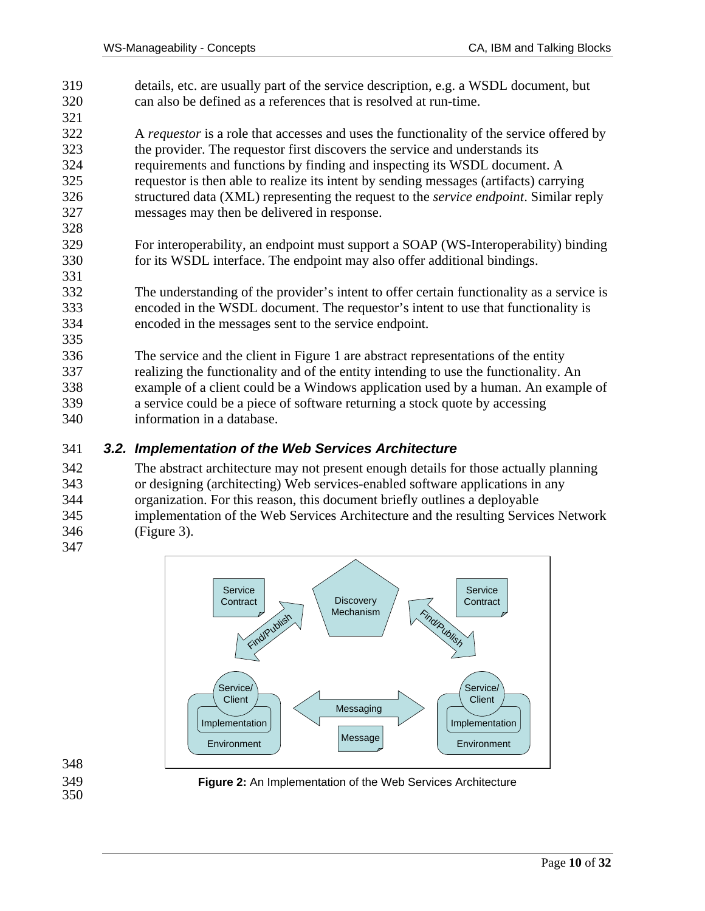319 details, etc. are usually part of the service description, e.g. a WSDL document, but 320 can also be defined as a references that is resolved at run-time. 321 322 A *requestor* is a role that accesses and uses the functionality of the service offered by 323 the provider. The requestor first discovers the service and understands its 324 requirements and functions by finding and inspecting its WSDL document. A 325 requestor is then able to realize its intent by sending messages (artifacts) carrying 326 structured data (XML) representing the request to the *service endpoint*. Similar reply 327 messages may then be delivered in response. 328 329 For interoperability, an endpoint must support a SOAP (WS-Interoperability) binding 330 for its WSDL interface. The endpoint may also offer additional bindings. 331 332 The understanding of the provider's intent to offer certain functionality as a service is 333 encoded in the WSDL document. The requestor's intent to use that functionality is 334 encoded in the messages sent to the service endpoint. 335 336 The service and the client in Figure 1 are abstract representations of the entity 337 realizing the functionality and of the entity intending to use the functionality. An 338 example of a client could be a Windows application used by a human. An example of 339 a service could be a piece of software returning a stock quote by accessing 340 information in a database.

#### 341 *3.2. Implementation of the Web Services Architecture*

342 The abstract architecture may not present enough details for those actually planning 343 or designing (architecting) Web services-enabled software applications in any 344 organization. For this reason, this document briefly outlines a deployable 345 implementation of the Web Services Architecture and the resulting Services Network 346 (Figure 3). 347



348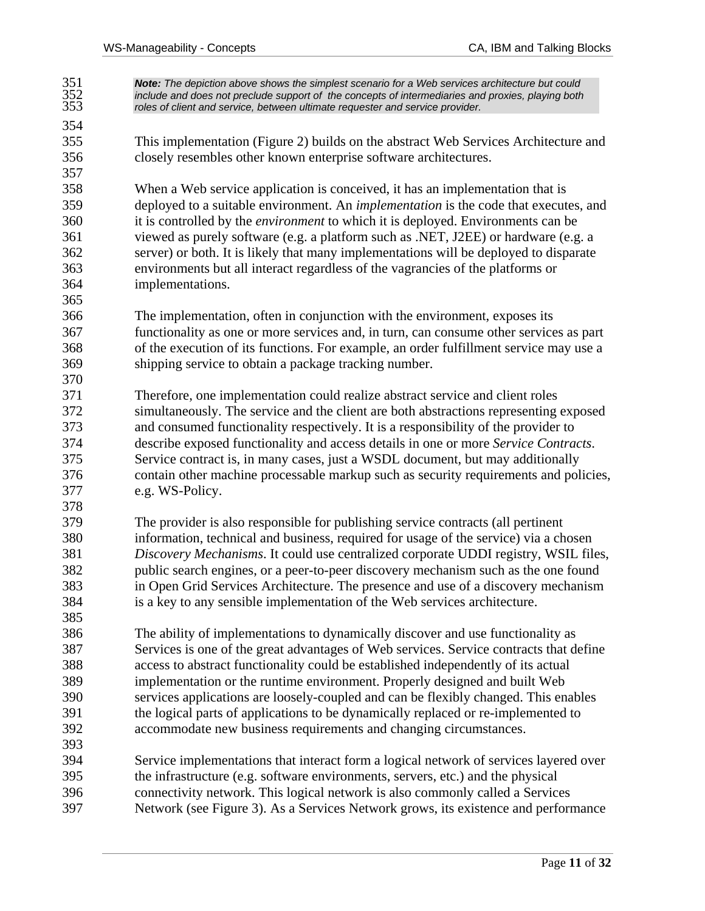351 *Note: The depiction above shows the simplest scenario for a Web services architecture but could*  352 *include and does not preclude support of the concepts of intermediaries and proxies, playing both*  353 *roles of client and service, between ultimate requester and service provider.*  354 355 This implementation (Figure 2) builds on the abstract Web Services Architecture and 356 closely resembles other known enterprise software architectures. 357 358 When a Web service application is conceived, it has an implementation that is 359 deployed to a suitable environment. An *implementation* is the code that executes, and 360 it is controlled by the *environment* to which it is deployed. Environments can be 361 viewed as purely software (e.g. a platform such as .NET, J2EE) or hardware (e.g. a 362 server) or both. It is likely that many implementations will be deployed to disparate 363 environments but all interact regardless of the vagrancies of the platforms or 364 implementations. 365 366 The implementation, often in conjunction with the environment, exposes its 367 functionality as one or more services and, in turn, can consume other services as part 368 of the execution of its functions. For example, an order fulfillment service may use a 369 shipping service to obtain a package tracking number. 370 371 Therefore, one implementation could realize abstract service and client roles 372 simultaneously. The service and the client are both abstractions representing exposed 373 and consumed functionality respectively. It is a responsibility of the provider to 374 describe exposed functionality and access details in one or more *Service Contracts*. 375 Service contract is, in many cases, just a WSDL document, but may additionally 376 contain other machine processable markup such as security requirements and policies, 377 e.g. WS-Policy. 378 379 The provider is also responsible for publishing service contracts (all pertinent 380 information, technical and business, required for usage of the service) via a chosen 381 *Discovery Mechanisms*. It could use centralized corporate UDDI registry, WSIL files, 382 public search engines, or a peer-to-peer discovery mechanism such as the one found 383 in Open Grid Services Architecture. The presence and use of a discovery mechanism 384 is a key to any sensible implementation of the Web services architecture. 385 386 The ability of implementations to dynamically discover and use functionality as 387 Services is one of the great advantages of Web services. Service contracts that define 388 access to abstract functionality could be established independently of its actual 389 implementation or the runtime environment. Properly designed and built Web 390 services applications are loosely-coupled and can be flexibly changed. This enables 391 the logical parts of applications to be dynamically replaced or re-implemented to 392 accommodate new business requirements and changing circumstances. 393 394 Service implementations that interact form a logical network of services layered over 395 the infrastructure (e.g. software environments, servers, etc.) and the physical 396 connectivity network. This logical network is also commonly called a Services 397 Network (see Figure 3). As a Services Network grows, its existence and performance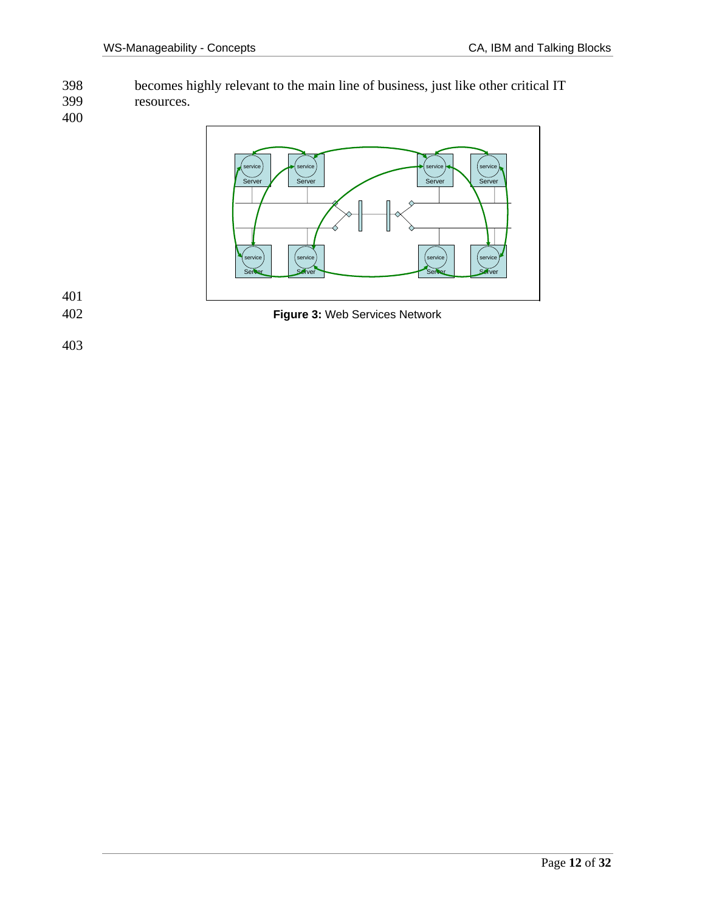398 becomes highly relevant to the main line of business, just like other critical IT resources.

400



401

402 **Figure 3:** Web Services Network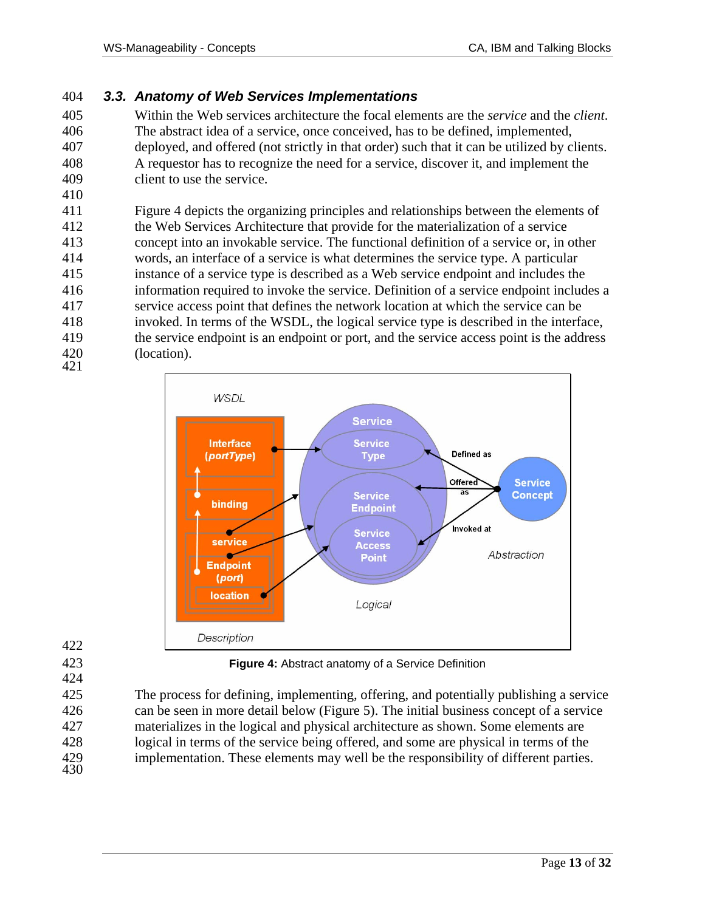#### 404 *3.3. Anatomy of Web Services Implementations*

405 Within the Web services architecture the focal elements are the *service* and the *client*. 406 The abstract idea of a service, once conceived, has to be defined, implemented, 407 deployed, and offered (not strictly in that order) such that it can be utilized by clients. 408 A requestor has to recognize the need for a service, discover it, and implement the 409 client to use the service.

411 Figure 4 depicts the organizing principles and relationships between the elements of 412 the Web Services Architecture that provide for the materialization of a service 413 concept into an invokable service. The functional definition of a service or, in other 414 words, an interface of a service is what determines the service type. A particular 415 instance of a service type is described as a Web service endpoint and includes the 416 information required to invoke the service. Definition of a service endpoint includes a 417 service access point that defines the network location at which the service can be 418 invoked. In terms of the WSDL, the logical service type is described in the interface, 419 the service endpoint is an endpoint or port, and the service access point is the address 420 (location). 421



422 424

410

423 **Figure 4:** Abstract anatomy of a Service Definition

425 The process for defining, implementing, offering, and potentially publishing a service 426 can be seen in more detail below (Figure 5). The initial business concept of a service 427 materializes in the logical and physical architecture as shown. Some elements are 428 logical in terms of the service being offered, and some are physical in terms of the 429 implementation. These elements may well be the responsibility of different parties. 430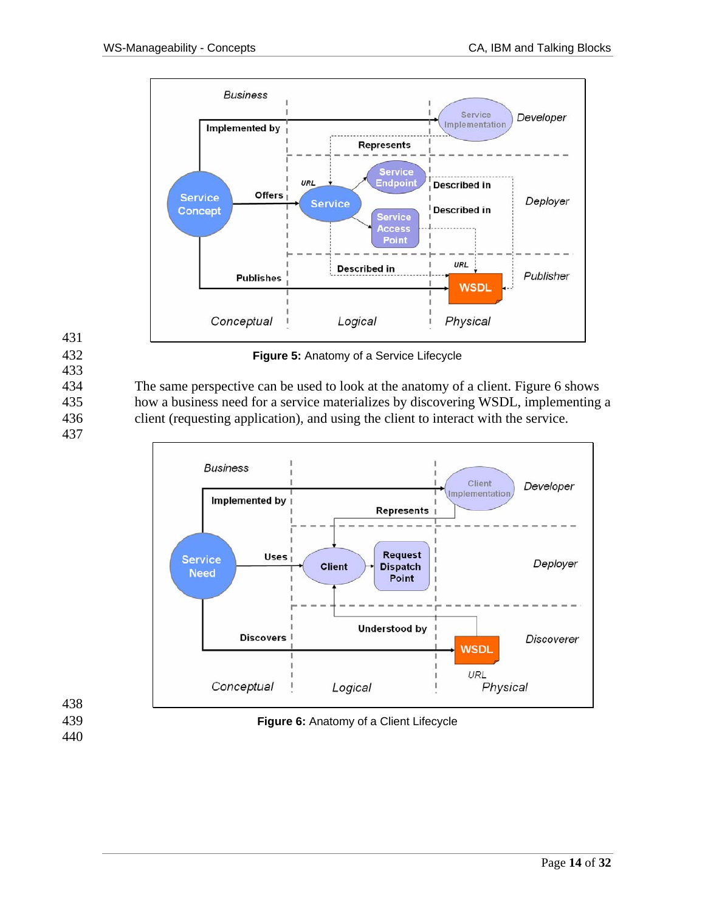

433

432 **Figure 5:** Anatomy of a Service Lifecycle

434 The same perspective can be used to look at the anatomy of a client. Figure 6 shows 435 how a business need for a service materializes by discovering WSDL, implementing a 436 client (requesting application), and using the client to interact with the service.

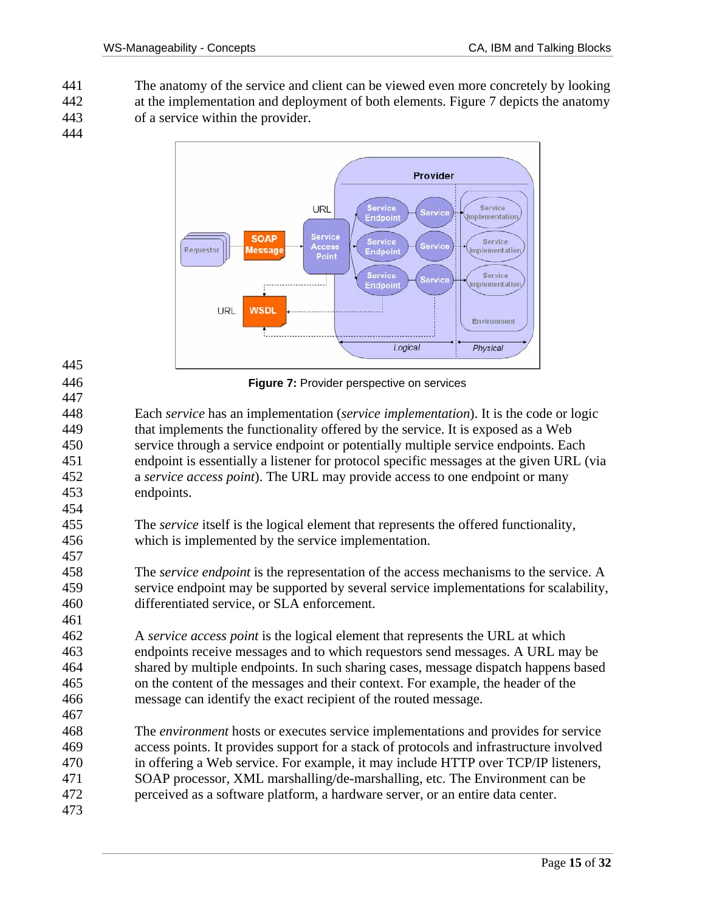441 The anatomy of the service and client can be viewed even more concretely by looking 442 at the implementation and deployment of both elements. Figure 7 depicts the anatomy 443 of a service within the provider.

444

445

447

454

457

461



446 **Figure 7:** Provider perspective on services

448 Each *service* has an implementation (*service implementation*). It is the code or logic 449 that implements the functionality offered by the service. It is exposed as a Web 450 service through a service endpoint or potentially multiple service endpoints. Each 451 endpoint is essentially a listener for protocol specific messages at the given URL (via 452 a *service access point*). The URL may provide access to one endpoint or many 453 endpoints.

- 455 The *service* itself is the logical element that represents the offered functionality, 456 which is implemented by the service implementation.
- 458 The *service endpoint* is the representation of the access mechanisms to the service. A 459 service endpoint may be supported by several service implementations for scalability, 460 differentiated service, or SLA enforcement.
- 462 A *service access point* is the logical element that represents the URL at which 463 endpoints receive messages and to which requestors send messages. A URL may be 464 shared by multiple endpoints. In such sharing cases, message dispatch happens based 465 on the content of the messages and their context. For example, the header of the 466 message can identify the exact recipient of the routed message. 467
- 468 The *environment* hosts or executes service implementations and provides for service 469 access points. It provides support for a stack of protocols and infrastructure involved 470 in offering a Web service. For example, it may include HTTP over TCP/IP listeners, 471 SOAP processor, XML marshalling/de-marshalling, etc. The Environment can be 472 perceived as a software platform, a hardware server, or an entire data center.
- 473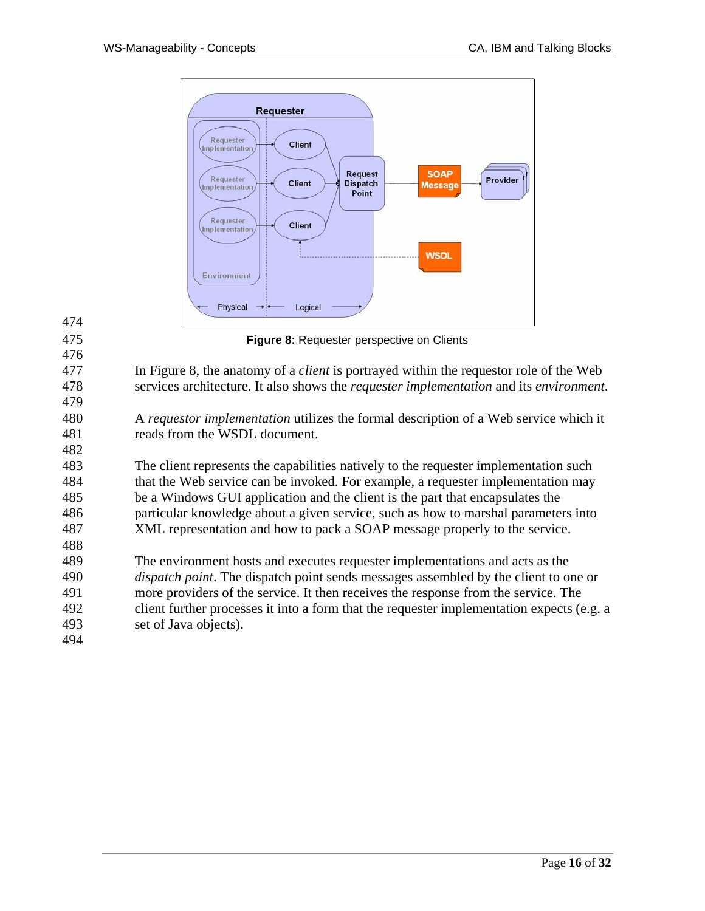

474 475 **Figure 8:** Requester perspective on Clients 476 477 In Figure 8, the anatomy of a *client* is portrayed within the requestor role of the Web 478 services architecture. It also shows the *requester implementation* and its *environment*. 479 480 A *requestor implementation* utilizes the formal description of a Web service which it 481 reads from the WSDL document. 482 483 The client represents the capabilities natively to the requester implementation such 484 that the Web service can be invoked. For example, a requester implementation may 485 be a Windows GUI application and the client is the part that encapsulates the 486 particular knowledge about a given service, such as how to marshal parameters into 487 XML representation and how to pack a SOAP message properly to the service. 488 489 The environment hosts and executes requester implementations and acts as the 490 *dispatch point*. The dispatch point sends messages assembled by the client to one or 491 more providers of the service. It then receives the response from the service. The 492 client further processes it into a form that the requester implementation expects (e.g. a 493 set of Java objects). 494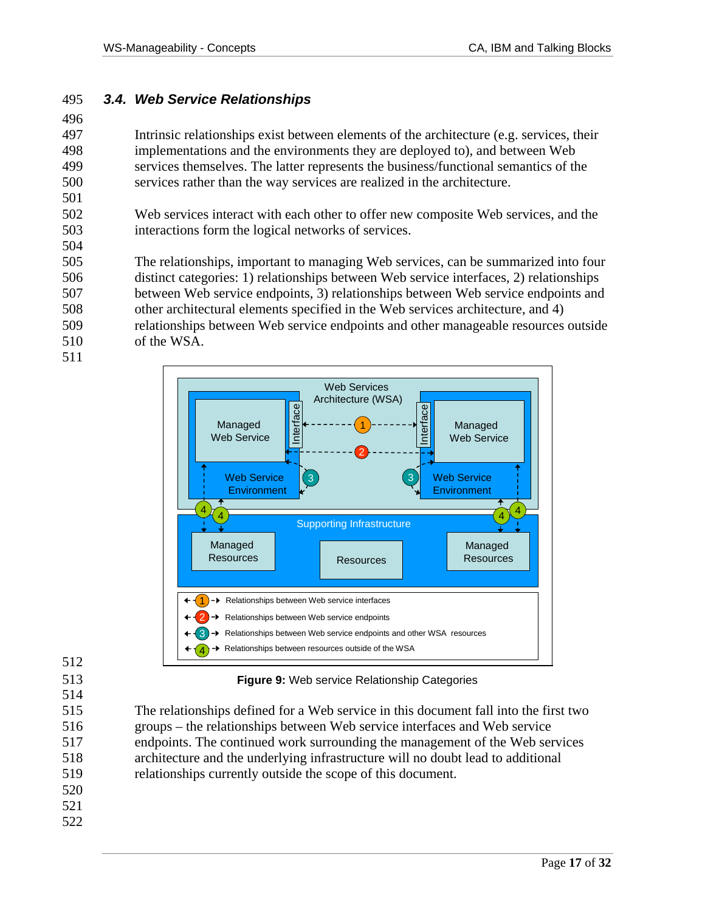#### 495 *3.4. Web Service Relationships*

496

501

504

497 Intrinsic relationships exist between elements of the architecture (e.g. services, their 498 implementations and the environments they are deployed to), and between Web 499 services themselves. The latter represents the business/functional semantics of the 500 services rather than the way services are realized in the architecture.

502 Web services interact with each other to offer new composite Web services, and the 503 interactions form the logical networks of services.

505 The relationships, important to managing Web services, can be summarized into four 506 distinct categories: 1) relationships between Web service interfaces, 2) relationships 507 between Web service endpoints, 3) relationships between Web service endpoints and 508 other architectural elements specified in the Web services architecture, and 4) 509 relationships between Web service endpoints and other manageable resources outside 510 of the WSA.

511



512

514

513 **Figure 9:** Web service Relationship Categories

515 The relationships defined for a Web service in this document fall into the first two 516 groups – the relationships between Web service interfaces and Web service 517 endpoints. The continued work surrounding the management of the Web services 518 architecture and the underlying infrastructure will no doubt lead to additional 519 relationships currently outside the scope of this document.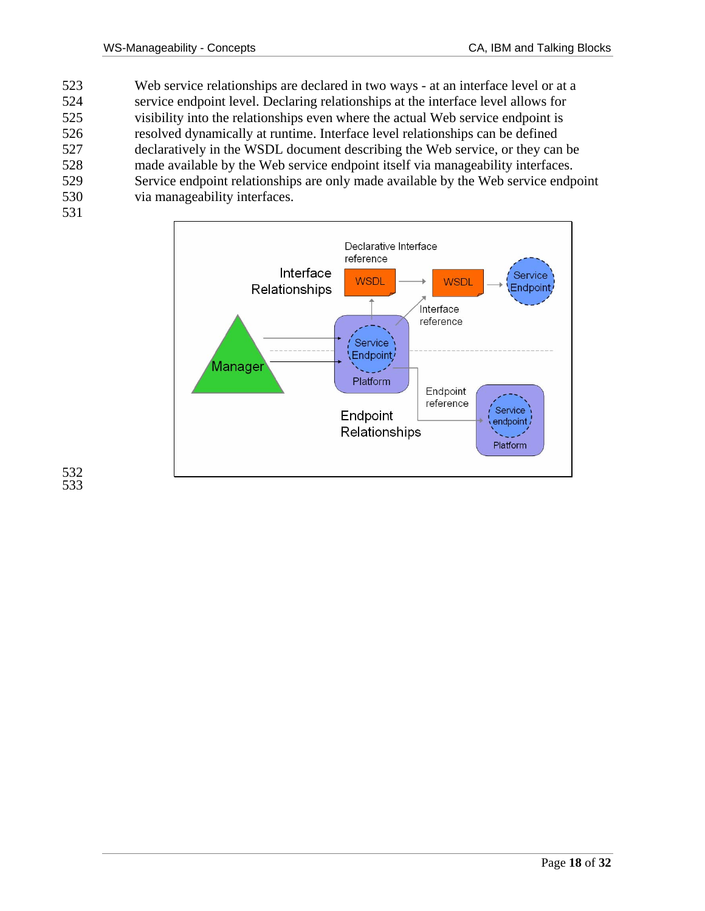- 523 Web service relationships are declared in two ways at an interface level or at a 524 service endpoint level. Declaring relationships at the interface level allows for 525 visibility into the relationships even where the actual Web service endpoint is 526 resolved dynamically at runtime. Interface level relationships can be defined 527 declaratively in the WSDL document describing the Web service, or they can be 528 made available by the Web service endpoint itself via manageability interfaces. 529 Service endpoint relationships are only made available by the Web service endpoint 530 via manageability interfaces.
- 531

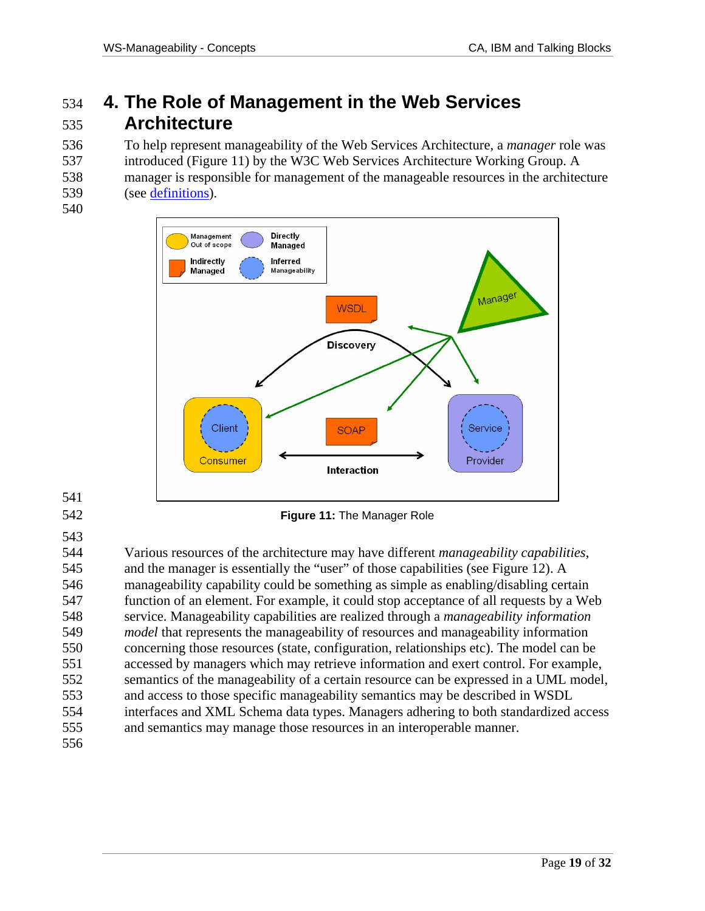# 534 **4. The Role of Management in the Web Services**  535 **Architecture**

536 To help represent manageability of the Web Services Architecture, a *manager* role was 537 introduced (Figure 11) by the W3C Web Services Architecture Working Group. A 538 manager is responsible for management of the manageable resources in the architecture 539 (see definitions).

540



- 541
- 543

542 **Figure 11:** The Manager Role

544 Various resources of the architecture may have different *manageability capabilities*, 545 and the manager is essentially the "user" of those capabilities (see Figure 12). A 546 manageability capability could be something as simple as enabling/disabling certain 547 function of an element. For example, it could stop acceptance of all requests by a Web 548 service. Manageability capabilities are realized through a *manageability information*  549 *model* that represents the manageability of resources and manageability information 550 concerning those resources (state, configuration, relationships etc). The model can be 551 accessed by managers which may retrieve information and exert control. For example, 552 semantics of the manageability of a certain resource can be expressed in a UML model, 553 and access to those specific manageability semantics may be described in WSDL 554 interfaces and XML Schema data types. Managers adhering to both standardized access 555 and semantics may manage those resources in an interoperable manner.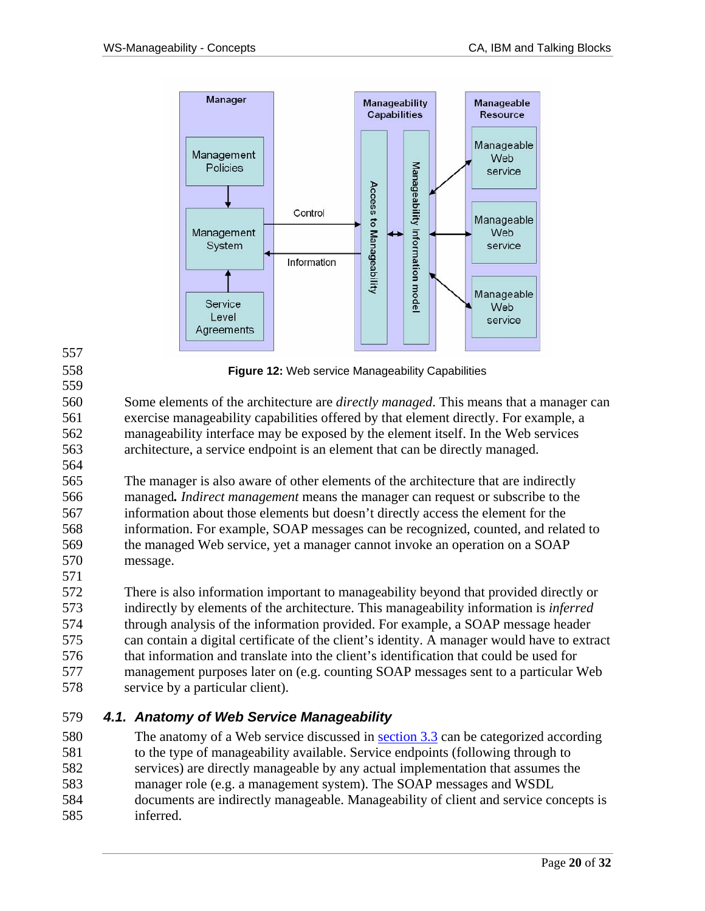

557

558 **Figure 12:** Web service Manageability Capabilities

560 Some elements of the architecture are *directly managed*. This means that a manager can 561 exercise manageability capabilities offered by that element directly. For example, a 562 manageability interface may be exposed by the element itself. In the Web services 563 architecture, a service endpoint is an element that can be directly managed. 564

565 The manager is also aware of other elements of the architecture that are indirectly 566 managed*. Indirect management* means the manager can request or subscribe to the 567 information about those elements but doesn't directly access the element for the 568 information. For example, SOAP messages can be recognized, counted, and related to 569 the managed Web service, yet a manager cannot invoke an operation on a SOAP 570 message. 571

572 There is also information important to manageability beyond that provided directly or 573 indirectly by elements of the architecture. This manageability information is *inferred* 574 through analysis of the information provided. For example, a SOAP message header 575 can contain a digital certificate of the client's identity. A manager would have to extract 576 that information and translate into the client's identification that could be used for 577 management purposes later on (e.g. counting SOAP messages sent to a particular Web 578 service by a particular client).

#### 579 *4.1. Anatomy of Web Service Manageability*

580 The anatomy of a Web service discussed in section 3.3 can be categorized according 581 to the type of manageability available. Service endpoints (following through to 582 services) are directly manageable by any actual implementation that assumes the 583 manager role (e.g. a management system). The SOAP messages and WSDL 584 documents are indirectly manageable. Manageability of client and service concepts is 585 inferred.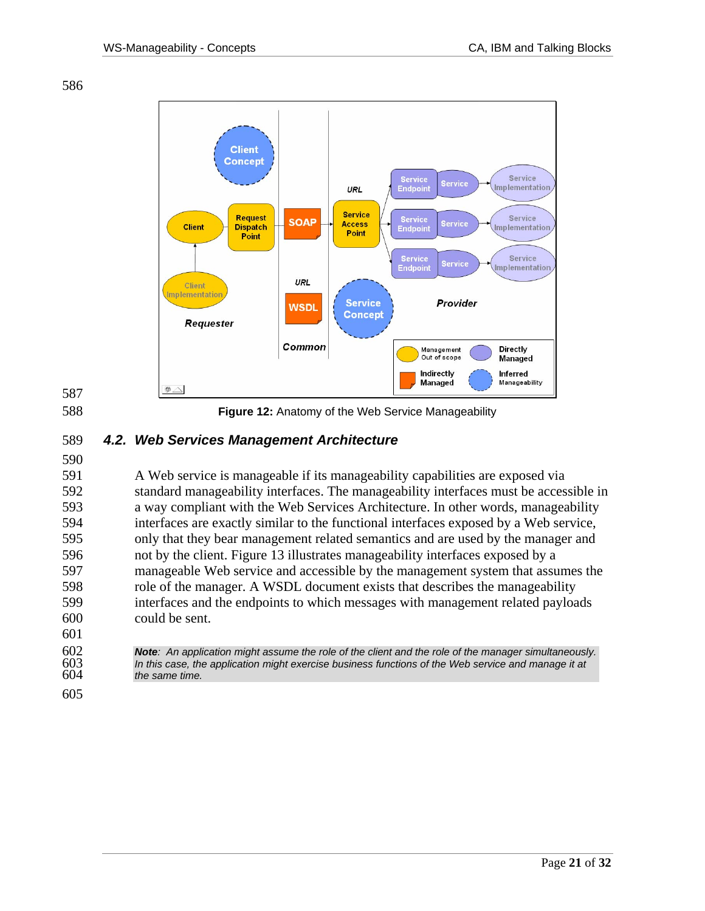



588 **Figure 12:** Anatomy of the Web Service Manageability

### 589 *4.2. Web Services Management Architecture*

590

591 A Web service is manageable if its manageability capabilities are exposed via 592 standard manageability interfaces. The manageability interfaces must be accessible in 593 a way compliant with the Web Services Architecture. In other words, manageability 594 interfaces are exactly similar to the functional interfaces exposed by a Web service, 595 only that they bear management related semantics and are used by the manager and 596 not by the client. Figure 13 illustrates manageability interfaces exposed by a 597 manageable Web service and accessible by the management system that assumes the 598 role of the manager. A WSDL document exists that describes the manageability 599 interfaces and the endpoints to which messages with management related payloads 600 could be sent. 601

602 *Note: An application might assume the role of the client and the role of the manager simultaneously.*  603 *In this case, the application might exercise business functions of the Web service and manage it at*  the same time.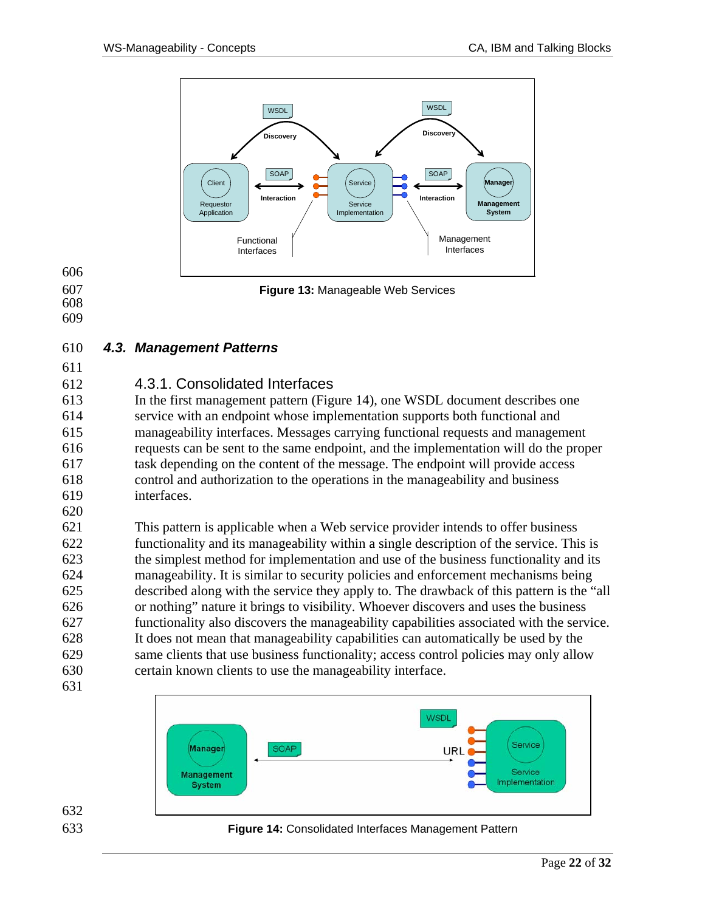

### 607 **Figure 13:** Manageable Web Services

606

- 608
- 609
- 

### 610 *4.3. Management Patterns*

611

### 612 4.3.1. Consolidated Interfaces

613 In the first management pattern (Figure 14), one WSDL document describes one 614 service with an endpoint whose implementation supports both functional and 615 manageability interfaces. Messages carrying functional requests and management 616 requests can be sent to the same endpoint, and the implementation will do the proper 617 task depending on the content of the message. The endpoint will provide access 618 control and authorization to the operations in the manageability and business 619 interfaces.

620

621 This pattern is applicable when a Web service provider intends to offer business 622 functionality and its manageability within a single description of the service. This is 623 the simplest method for implementation and use of the business functionality and its 624 manageability. It is similar to security policies and enforcement mechanisms being 625 described along with the service they apply to. The drawback of this pattern is the "all 626 or nothing" nature it brings to visibility. Whoever discovers and uses the business 627 functionality also discovers the manageability capabilities associated with the service. 628 It does not mean that manageability capabilities can automatically be used by the 629 same clients that use business functionality; access control policies may only allow 630 certain known clients to use the manageability interface.





633 **Figure 14:** Consolidated Interfaces Management Pattern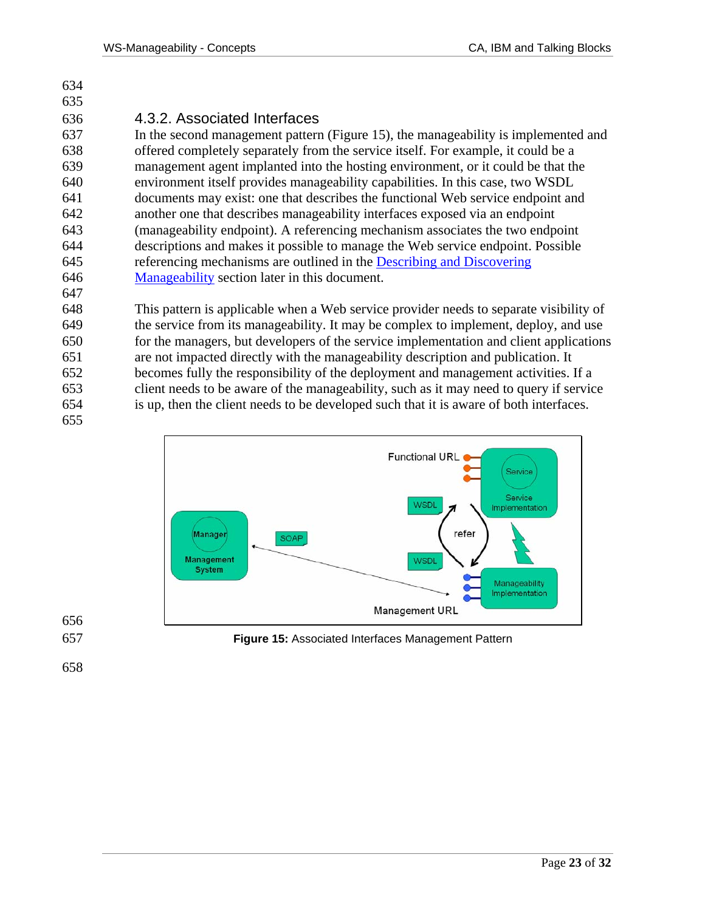### 636 4.3.2. Associated Interfaces

637 In the second management pattern (Figure 15), the manageability is implemented and 638 offered completely separately from the service itself. For example, it could be a 639 management agent implanted into the hosting environment, or it could be that the 640 environment itself provides manageability capabilities. In this case, two WSDL 641 documents may exist: one that describes the functional Web service endpoint and 642 another one that describes manageability interfaces exposed via an endpoint 643 (manageability endpoint). A referencing mechanism associates the two endpoint 644 descriptions and makes it possible to manage the Web service endpoint. Possible 645 referencing mechanisms are outlined in the Describing and Discovering 646 Manageability section later in this document. 647

648 This pattern is applicable when a Web service provider needs to separate visibility of 649 the service from its manageability. It may be complex to implement, deploy, and use 650 for the managers, but developers of the service implementation and client applications 651 are not impacted directly with the manageability description and publication. It 652 becomes fully the responsibility of the deployment and management activities. If a 653 client needs to be aware of the manageability, such as it may need to query if service 654 is up, then the client needs to be developed such that it is aware of both interfaces.



656

655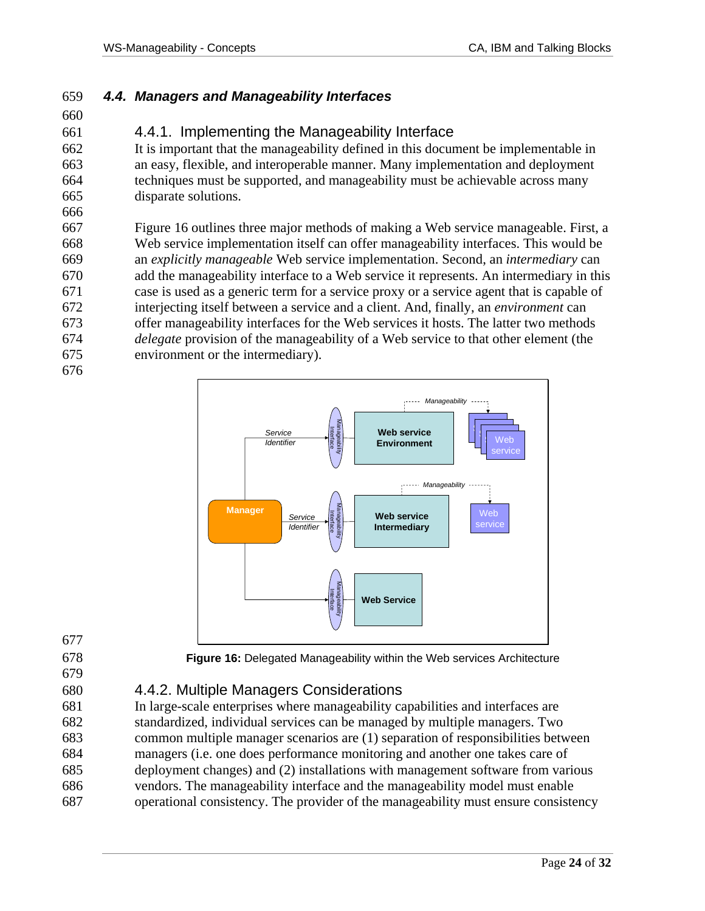#### 659 *4.4. Managers and Manageability Interfaces*

660

666

676

### 661 4.4.1. Implementing the Manageability Interface

662 It is important that the manageability defined in this document be implementable in 663 an easy, flexible, and interoperable manner. Many implementation and deployment 664 techniques must be supported, and manageability must be achievable across many 665 disparate solutions.

667 Figure 16 outlines three major methods of making a Web service manageable. First, a 668 Web service implementation itself can offer manageability interfaces. This would be 669 an *explicitly manageable* Web service implementation. Second, an *intermediary* can 670 add the manageability interface to a Web service it represents. An intermediary in this 671 case is used as a generic term for a service proxy or a service agent that is capable of 672 interjecting itself between a service and a client. And, finally, an *environment* can 673 offer manageability interfaces for the Web services it hosts. The latter two methods 674 *delegate* provision of the manageability of a Web service to that other element (the 675 environment or the intermediary).



- 677
- 679

678 **Figure 16:** Delegated Manageability within the Web services Architecture

### 680 4.4.2. Multiple Managers Considerations

681 In large-scale enterprises where manageability capabilities and interfaces are 682 standardized, individual services can be managed by multiple managers. Two 683 common multiple manager scenarios are (1) separation of responsibilities between 684 managers (i.e. one does performance monitoring and another one takes care of 685 deployment changes) and (2) installations with management software from various 686 vendors. The manageability interface and the manageability model must enable 687 operational consistency. The provider of the manageability must ensure consistency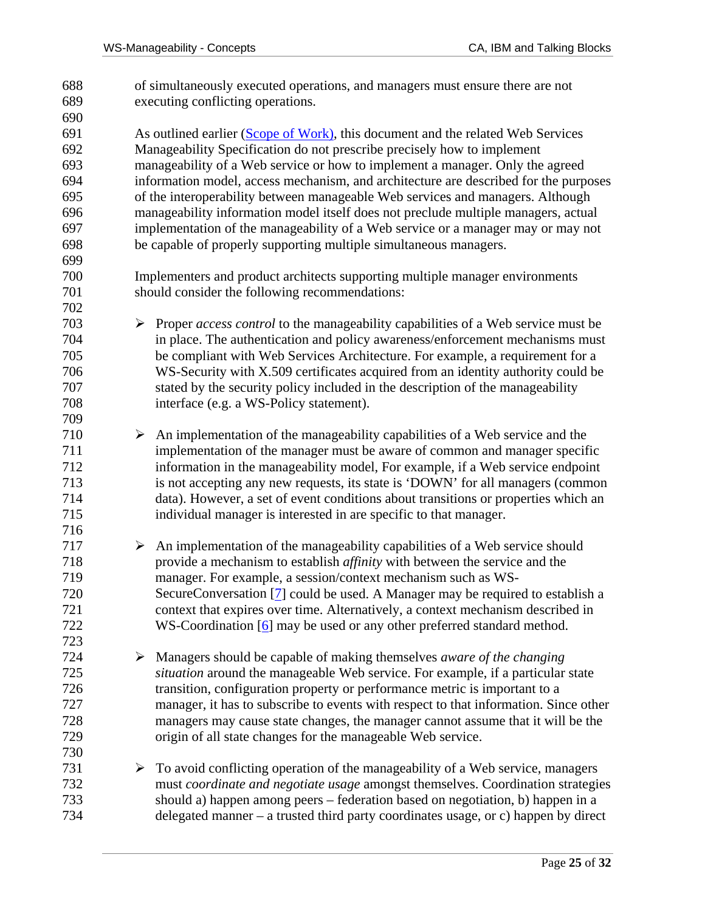688 of simultaneously executed operations, and managers must ensure there are not 689 executing conflicting operations. 690 691 As outlined earlier (Scope of Work), this document and the related Web Services 692 Manageability Specification do not prescribe precisely how to implement 693 manageability of a Web service or how to implement a manager. Only the agreed 694 information model, access mechanism, and architecture are described for the purposes 695 of the interoperability between manageable Web services and managers. Although 696 manageability information model itself does not preclude multiple managers, actual 697 implementation of the manageability of a Web service or a manager may or may not 698 be capable of properly supporting multiple simultaneous managers. 699 700 Implementers and product architects supporting multiple manager environments 701 should consider the following recommendations: 702 703 ¾ Proper *access control* to the manageability capabilities of a Web service must be 704 in place. The authentication and policy awareness/enforcement mechanisms must 705 be compliant with Web Services Architecture. For example, a requirement for a 706 WS-Security with X.509 certificates acquired from an identity authority could be 707 stated by the security policy included in the description of the manageability 708 interface (e.g. a WS-Policy statement). 709 710  $\triangleright$  An implementation of the manageability capabilities of a Web service and the 711 implementation of the manager must be aware of common and manager specific 712 information in the manageability model, For example, if a Web service endpoint 713 is not accepting any new requests, its state is 'DOWN' for all managers (common 714 data). However, a set of event conditions about transitions or properties which an 715 individual manager is interested in are specific to that manager. 716  $717$   $\rightarrow$  An implementation of the manageability capabilities of a Web service should 718 provide a mechanism to establish *affinity* with between the service and the 719 manager. For example, a session/context mechanism such as WS-720 SecureConversation [7] could be used. A Manager may be required to establish a 721 context that expires over time. Alternatively, a context mechanism described in 722 WS-Coordination [6] may be used or any other preferred standard method. 723 724 ¾ Managers should be capable of making themselves *aware of the changing*  725 *situation* around the manageable Web service. For example, if a particular state 726 transition, configuration property or performance metric is important to a 727 manager, it has to subscribe to events with respect to that information. Since other 728 managers may cause state changes, the manager cannot assume that it will be the 729 origin of all state changes for the manageable Web service. 730  $731$   $\rightarrow$  To avoid conflicting operation of the manageability of a Web service, managers 732 must *coordinate and negotiate usage* amongst themselves. Coordination strategies 733 should a) happen among peers – federation based on negotiation, b) happen in a 734 delegated manner – a trusted third party coordinates usage, or c) happen by direct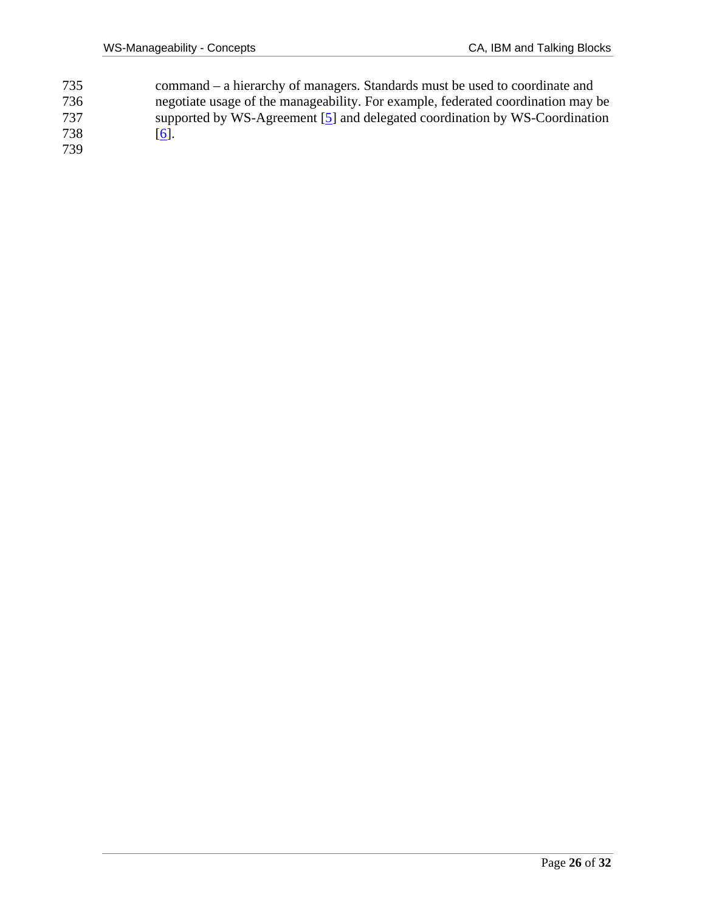735 command – a hierarchy of managers. Standards must be used to coordinate and 736 negotiate usage of the manageability. For example, federated coordination may be supported by WS-Agreement [5] and delegated coordination by WS-Coordination 737 supported by WS-Agreement [5] and delegated coordination by WS-Coordination 738 [6].  $\boxed{6}$ . 739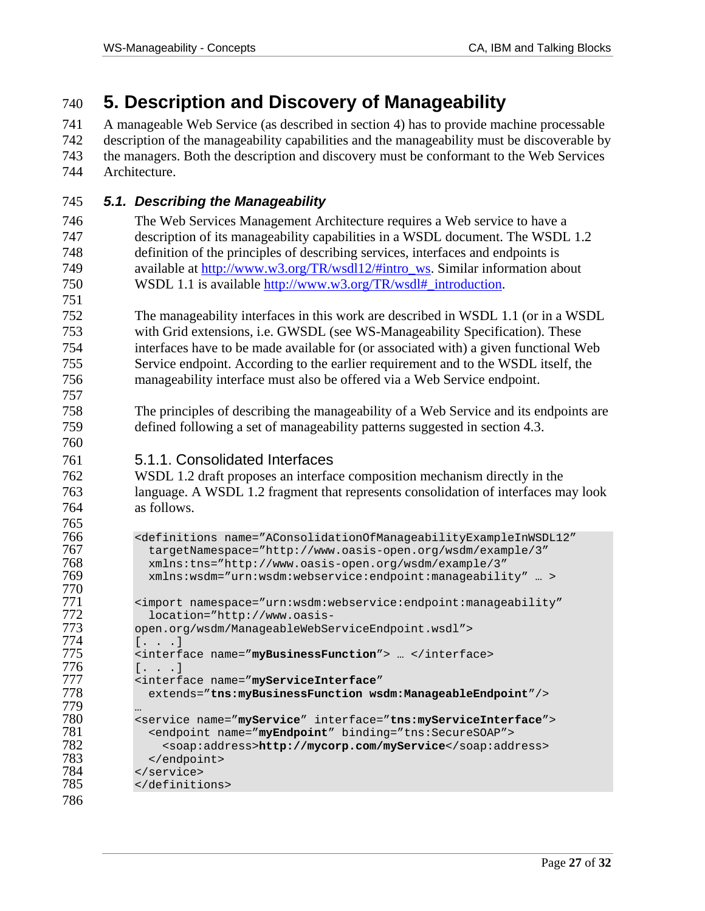# 740 **5. Description and Discovery of Manageability**

741 A manageable Web Service (as described in section 4) has to provide machine processable 742 description of the manageability capabilities and the manageability must be discoverable by 743 the managers. Both the description and discovery must be conformant to the Web Services 744 Architecture.

- 745 *5.1. Describing the Manageability*
- 746 The Web Services Management Architecture requires a Web service to have a 747 description of its manageability capabilities in a WSDL document. The WSDL 1.2 748 definition of the principles of describing services, interfaces and endpoints is 749 available at http://www.w3.org/TR/wsdl12/#intro\_ws. Similar information about 750 WSDL 1.1 is available http://www.w3.org/TR/wsdl#\_introduction. 751
- 752 The manageability interfaces in this work are described in WSDL 1.1 (or in a WSDL 753 with Grid extensions, i.e. GWSDL (see WS-Manageability Specification). These 754 interfaces have to be made available for (or associated with) a given functional Web 755 Service endpoint. According to the earlier requirement and to the WSDL itself, the 756 manageability interface must also be offered via a Web Service endpoint.
- 758 The principles of describing the manageability of a Web Service and its endpoints are 759 defined following a set of manageability patterns suggested in section 4.3.
- 761 5.1.1. Consolidated Interfaces

762 WSDL 1.2 draft proposes an interface composition mechanism directly in the 763 language. A WSDL 1.2 fragment that represents consolidation of interfaces may look 764 as follows.

```
765 766 <definitions name="AConsolidationOfManageabilityExampleInWSDL12" 
767 targetNamespace="http://www.oasis-open.org/wsdm/example/3"<br>768 mins:tns="http://www.oasis-open.org/wsdm/example/3"
768 xmlns:tns="http://www.oasis-open.org/wsdm/example/3" 
              769 xmlns:wsdm="urn:wsdm:webservice:endpoint:manageability" … > 
771 <import namespace="urn:wsdm:webservice:endpoint:manageability"<br>772 location="http://www.oasis-
772 location="http://www.oasis-
773 open.org/wsdm/ManageableWebServiceEndpoint.wsdl"> 
774 [. . .] 
775 <interface name="myBusinessFunction"> ... </interface><br>776 [ \tldots ]776 [...]<br>777 <interf
777 <interface name="myServiceInterface" 
              778 extends="tns:myBusinessFunction wsdm:ManageableEndpoint"/> 
780 <service name="myService" interface="tns:myServiceInterface"><br>781 <endpoint name="myEndpoint" binding="tns:SecureSOAP">
781 <endpoint name="myEndpoint" binding="tns:SecureSOAP"> 
782 <soap:address>http://mycorp.com/myService</soap:address> 
783 </endpoint> 
784 </service><br>785 </definiti
            </definitions>
```
786

779 …

757

760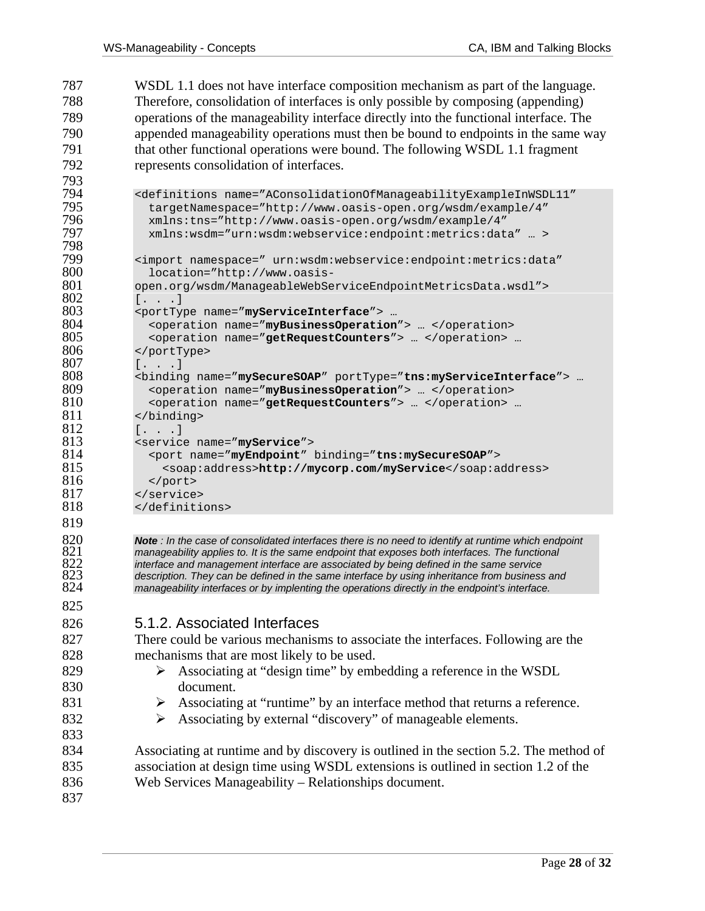787 WSDL 1.1 does not have interface composition mechanism as part of the language. 788 Therefore, consolidation of interfaces is only possible by composing (appending) 789 operations of the manageability interface directly into the functional interface. The 790 appended manageability operations must then be bound to endpoints in the same way 791 that other functional operations were bound. The following WSDL 1.1 fragment 792 represents consolidation of interfaces.

```
793 
794 <definitions name="AConsolidationOfManageabilityExampleInWSDL11" 
795 targetNamespace="http://www.oasis-open.org/wsdm/example/4" 
796 xmlns:tns="http://www.oasis-open.org/wsdm/example/4" 
             797 xmlns:wsdm="urn:wsdm:webservice:endpoint:metrics:data" … > 
798<br>799
799 <import namespace=" urn:wsdm:webservice:endpoint:metrics:data" 
800 location="http://www.oasis-
801 open.org/wsdm/ManageableWebServiceEndpointMetricsData.wsdl"> 
802 [. . .] 
803 <portType name="myServiceInterface"> … 
804 <br />
coperation name="myBusinessOperation"> ... </operation><br>805 < operation name="getRequestCounters"> ... </operation>
805 <operation name="getRequestCounters"> ... </operation> ...<br>806 </bortType>
806 </portType> 
807 [. . .] 
808 <binding name="mySecureSOAP" portType="tns:myServiceInterface"> … 
             809 <operation name="myBusinessOperation"> … </operation> 
810 < operation name="getRequestCounters"> ... </operation> ... 811 </binding>
811 </binding><br>812 \left[ . \right. . \right]812 [...]<br>813 <service
813 <service name="myService"> 
814 <port name="myEndpoint" binding="tns:mySecureSOAP"> 
815 <soap:address>http://mycorp.com/myService</soap:address><br>816 </bort>
816 </port><br>817 </service
817 </service><br>818 </definiti
           818 </definitions>
```
*Note* : In the case of consolidated interfaces there is no need to identify at runtime which endpoint <br>821 manageability applies to. It is the same endpoint that exposes both interfaces. The functional *manageability applies to. It is the same endpoint that exposes both interfaces. The functional interface and management interface are associated by being defined in the same service description. They can be defined in the same interface by using inheritance from business and*  manageability interfaces or by implenting the operations directly in the endpoint's interface.

825

819

#### 826 5.1.2. Associated Interfaces

827 There could be various mechanisms to associate the interfaces. Following are the 828 mechanisms that are most likely to be used.

- 829  $\triangleright$  Associating at "design time" by embedding a reference in the WSDL 830 document.
- 831  $\triangleright$  Associating at "runtime" by an interface method that returns a reference.
- 832  $\rightarrow$  Associating by external "discovery" of manageable elements.

834 Associating at runtime and by discovery is outlined in the section 5.2. The method of 835 association at design time using WSDL extensions is outlined in section 1.2 of the 836 Web Services Manageability – Relationships document.

837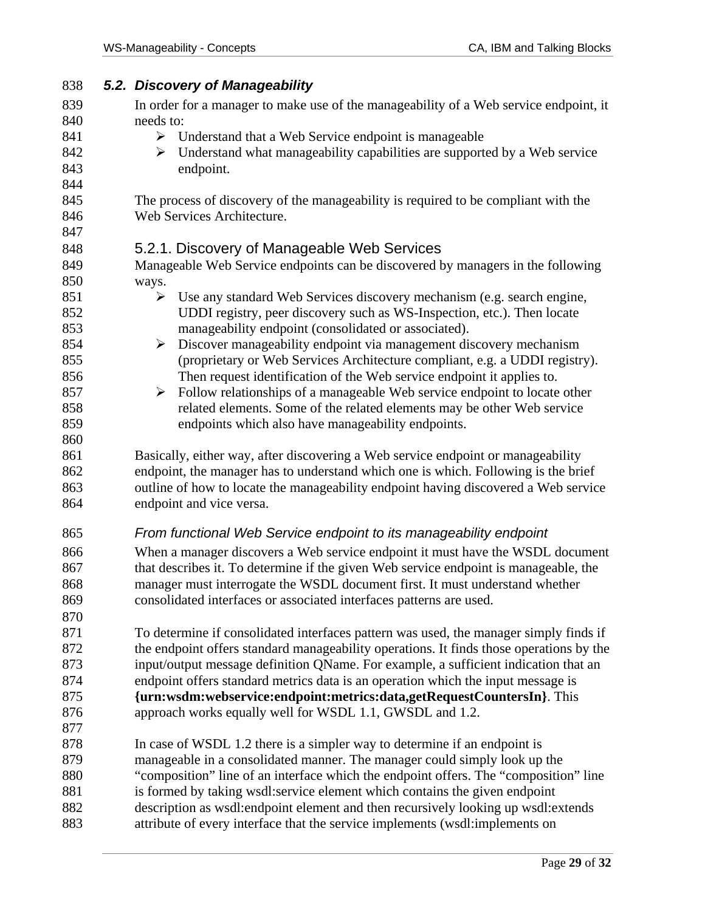| 838        | 5.2. Discovery of Manageability                                                                                                                                   |  |  |  |  |  |
|------------|-------------------------------------------------------------------------------------------------------------------------------------------------------------------|--|--|--|--|--|
| 839        | In order for a manager to make use of the manageability of a Web service endpoint, it                                                                             |  |  |  |  |  |
| 840        | needs to:                                                                                                                                                         |  |  |  |  |  |
| 841        | $\triangleright$ Understand that a Web Service endpoint is manageable                                                                                             |  |  |  |  |  |
| 842        | Understand what manageability capabilities are supported by a Web service<br>➤                                                                                    |  |  |  |  |  |
| 843        | endpoint.                                                                                                                                                         |  |  |  |  |  |
| 844        |                                                                                                                                                                   |  |  |  |  |  |
| 845        | The process of discovery of the manageability is required to be compliant with the                                                                                |  |  |  |  |  |
| 846        | Web Services Architecture.                                                                                                                                        |  |  |  |  |  |
| 847        |                                                                                                                                                                   |  |  |  |  |  |
| 848        | 5.2.1. Discovery of Manageable Web Services                                                                                                                       |  |  |  |  |  |
| 849        | Manageable Web Service endpoints can be discovered by managers in the following                                                                                   |  |  |  |  |  |
| 850        | ways.                                                                                                                                                             |  |  |  |  |  |
| 851        | $\triangleright$ Use any standard Web Services discovery mechanism (e.g. search engine,                                                                           |  |  |  |  |  |
| 852<br>853 | UDDI registry, peer discovery such as WS-Inspection, etc.). Then locate<br>manageability endpoint (consolidated or associated).                                   |  |  |  |  |  |
| 854        | Discover manageability endpoint via management discovery mechanism<br>$\blacktriangleright$                                                                       |  |  |  |  |  |
| 855        | (proprietary or Web Services Architecture compliant, e.g. a UDDI registry).                                                                                       |  |  |  |  |  |
| 856        | Then request identification of the Web service endpoint it applies to.                                                                                            |  |  |  |  |  |
| 857        | Follow relationships of a manageable Web service endpoint to locate other<br>$\blacktriangleright$                                                                |  |  |  |  |  |
| 858        | related elements. Some of the related elements may be other Web service                                                                                           |  |  |  |  |  |
| 859        | endpoints which also have manageability endpoints.                                                                                                                |  |  |  |  |  |
| 860        |                                                                                                                                                                   |  |  |  |  |  |
| 861        | Basically, either way, after discovering a Web service endpoint or manageability                                                                                  |  |  |  |  |  |
| 862        | endpoint, the manager has to understand which one is which. Following is the brief                                                                                |  |  |  |  |  |
| 863        | outline of how to locate the manageability endpoint having discovered a Web service                                                                               |  |  |  |  |  |
| 864        | endpoint and vice versa.                                                                                                                                          |  |  |  |  |  |
| 865        | From functional Web Service endpoint to its manageability endpoint                                                                                                |  |  |  |  |  |
| 866        | When a manager discovers a Web service endpoint it must have the WSDL document                                                                                    |  |  |  |  |  |
| 867        | that describes it. To determine if the given Web service endpoint is manageable, the                                                                              |  |  |  |  |  |
| 868        | manager must interrogate the WSDL document first. It must understand whether                                                                                      |  |  |  |  |  |
| 869        | consolidated interfaces or associated interfaces patterns are used.                                                                                               |  |  |  |  |  |
| 870        |                                                                                                                                                                   |  |  |  |  |  |
| 871        | To determine if consolidated interfaces pattern was used, the manager simply finds if                                                                             |  |  |  |  |  |
| 872        | the endpoint offers standard manageability operations. It finds those operations by the                                                                           |  |  |  |  |  |
| 873        | input/output message definition QName. For example, a sufficient indication that an                                                                               |  |  |  |  |  |
| 874        | endpoint offers standard metrics data is an operation which the input message is                                                                                  |  |  |  |  |  |
| 875        | {urn:wsdm:webservice:endpoint:metrics:data,getRequestCountersIn}. This                                                                                            |  |  |  |  |  |
| 876        | approach works equally well for WSDL 1.1, GWSDL and 1.2.                                                                                                          |  |  |  |  |  |
| 877        |                                                                                                                                                                   |  |  |  |  |  |
| 878<br>879 | In case of WSDL 1.2 there is a simpler way to determine if an endpoint is                                                                                         |  |  |  |  |  |
| 880        | manageable in a consolidated manner. The manager could simply look up the<br>"composition" line of an interface which the endpoint offers. The "composition" line |  |  |  |  |  |
| 881        | is formed by taking wsdl:service element which contains the given endpoint                                                                                        |  |  |  |  |  |
| 882        | description as wsdl:endpoint element and then recursively looking up wsdl:extends                                                                                 |  |  |  |  |  |
| 883        | attribute of every interface that the service implements (wsdl:implements on                                                                                      |  |  |  |  |  |
|            |                                                                                                                                                                   |  |  |  |  |  |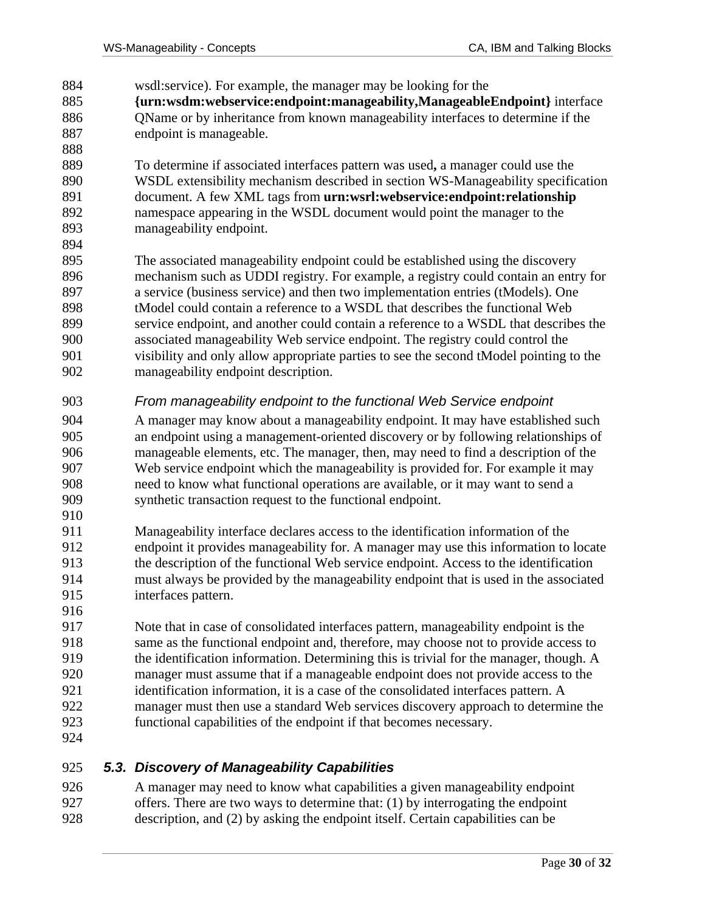884 wsdl:service). For example, the manager may be looking for the 885 **{urn:wsdm:webservice:endpoint:manageability,ManageableEndpoint}** interface 886 QName or by inheritance from known manageability interfaces to determine if the 887 endpoint is manageable. 888 889 To determine if associated interfaces pattern was used**,** a manager could use the 890 WSDL extensibility mechanism described in section WS-Manageability specification 891 document. A few XML tags from **urn:wsrl:webservice:endpoint:relationship** 892 namespace appearing in the WSDL document would point the manager to the 893 manageability endpoint. 894 895 The associated manageability endpoint could be established using the discovery 896 mechanism such as UDDI registry. For example, a registry could contain an entry for 897 a service (business service) and then two implementation entries (tModels). One 898 tModel could contain a reference to a WSDL that describes the functional Web 899 service endpoint, and another could contain a reference to a WSDL that describes the 900 associated manageability Web service endpoint. The registry could control the 901 visibility and only allow appropriate parties to see the second tModel pointing to the 902 manageability endpoint description. 903 *From manageability endpoint to the functional Web Service endpoint*  904 A manager may know about a manageability endpoint. It may have established such 905 an endpoint using a management-oriented discovery or by following relationships of 906 manageable elements, etc. The manager, then, may need to find a description of the 907 Web service endpoint which the manageability is provided for. For example it may 908 need to know what functional operations are available, or it may want to send a 909 synthetic transaction request to the functional endpoint. 910 911 Manageability interface declares access to the identification information of the 912 endpoint it provides manageability for. A manager may use this information to locate 913 the description of the functional Web service endpoint. Access to the identification 914 must always be provided by the manageability endpoint that is used in the associated 915 interfaces pattern. 916 917 Note that in case of consolidated interfaces pattern, manageability endpoint is the 918 same as the functional endpoint and, therefore, may choose not to provide access to 919 the identification information. Determining this is trivial for the manager, though. A 920 manager must assume that if a manageable endpoint does not provide access to the 921 identification information, it is a case of the consolidated interfaces pattern. A 922 manager must then use a standard Web services discovery approach to determine the 923 functional capabilities of the endpoint if that becomes necessary. 924

#### 925 *5.3. Discovery of Manageability Capabilities*

926 A manager may need to know what capabilities a given manageability endpoint 927 offers. There are two ways to determine that: (1) by interrogating the endpoint 928 description, and (2) by asking the endpoint itself. Certain capabilities can be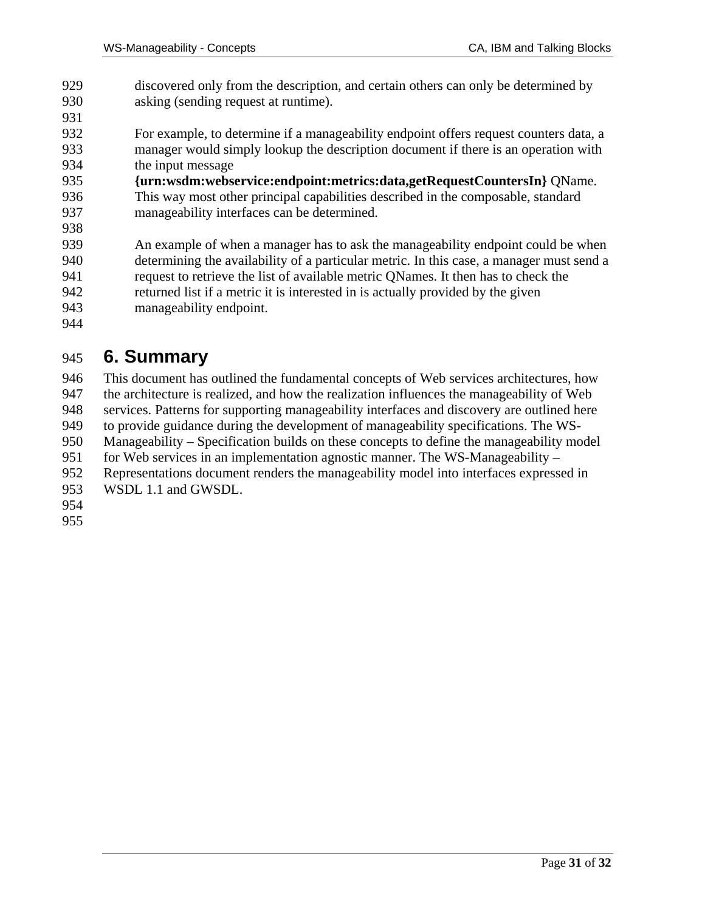- 929 discovered only from the description, and certain others can only be determined by 930 asking (sending request at runtime).
- 932 For example, to determine if a manageability endpoint offers request counters data, a 933 manager would simply lookup the description document if there is an operation with 934 the input message
- 935 **{urn:wsdm:webservice:endpoint:metrics:data,getRequestCountersIn}** QName. 936 This way most other principal capabilities described in the composable, standard 937 manageability interfaces can be determined.
- 938 939 An example of when a manager has to ask the manageability endpoint could be when 940 determining the availability of a particular metric. In this case, a manager must send a 941 request to retrieve the list of available metric QNames. It then has to check the
- 942 returned list if a metric it is interested in is actually provided by the given 943 manageability endpoint.
- 944

# 945 **6. Summary**

946 This document has outlined the fundamental concepts of Web services architectures, how 947 the architecture is realized, and how the realization influences the manageability of Web 948 services. Patterns for supporting manageability interfaces and discovery are outlined here 949 to provide guidance during the development of manageability specifications. The WS-950 Manageability – Specification builds on these concepts to define the manageability model 951 for Web services in an implementation agnostic manner. The WS-Manageability – 952 Representations document renders the manageability model into interfaces expressed in 953 WSDL 1.1 and GWSDL. 954